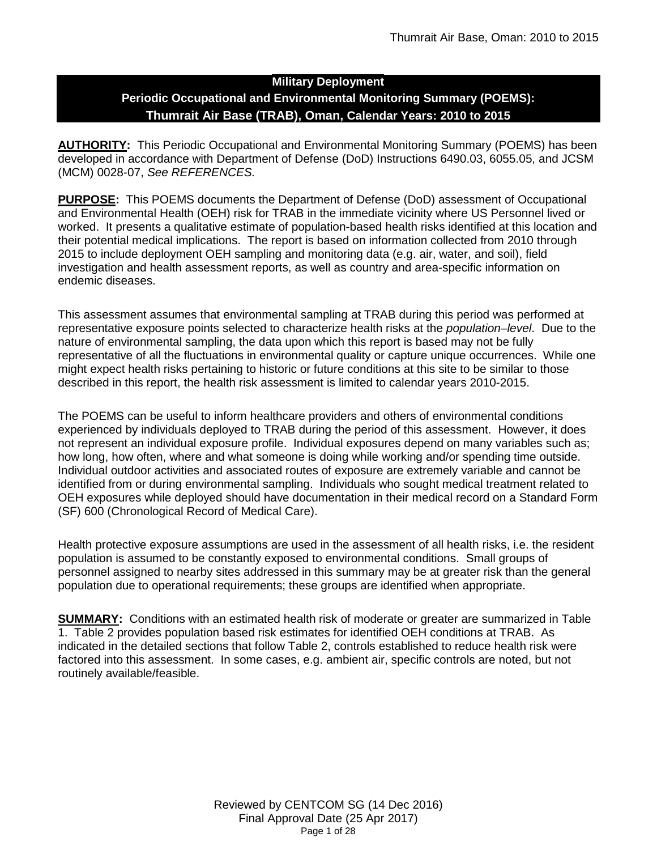# **Military Deployment**

# **Periodic Occupational and Environmental Monitoring Summary (POEMS): Thumrait Air Base (TRAB), Oman, Calendar Years: 2010 to 2015**

**AUTHORITY:** This Periodic Occupational and Environmental Monitoring Summary (POEMS) has been developed in accordance with Department of Defense (DoD) Instructions 6490.03, 6055.05, and JCSM (MCM) 0028-07, *See REFERENCES.*

**PURPOSE:** This POEMS documents the Department of Defense (DoD) assessment of Occupational and Environmental Health (OEH) risk for TRAB in the immediate vicinity where US Personnel lived or worked. It presents a qualitative estimate of population-based health risks identified at this location and their potential medical implications. The report is based on information collected from 2010 through 2015 to include deployment OEH sampling and monitoring data (e.g. air, water, and soil), field investigation and health assessment reports, as well as country and area-specific information on endemic diseases.

This assessment assumes that environmental sampling at TRAB during this period was performed at representative exposure points selected to characterize health risks at the *population–level*. Due to the nature of environmental sampling, the data upon which this report is based may not be fully representative of all the fluctuations in environmental quality or capture unique occurrences. While one might expect health risks pertaining to historic or future conditions at this site to be similar to those described in this report, the health risk assessment is limited to calendar years 2010-2015.

The POEMS can be useful to inform healthcare providers and others of environmental conditions experienced by individuals deployed to TRAB during the period of this assessment. However, it does not represent an individual exposure profile. Individual exposures depend on many variables such as; how long, how often, where and what someone is doing while working and/or spending time outside. Individual outdoor activities and associated routes of exposure are extremely variable and cannot be identified from or during environmental sampling. Individuals who sought medical treatment related to OEH exposures while deployed should have documentation in their medical record on a Standard Form (SF) 600 (Chronological Record of Medical Care).

Health protective exposure assumptions are used in the assessment of all health risks, i.e. the resident population is assumed to be constantly exposed to environmental conditions. Small groups of personnel assigned to nearby sites addressed in this summary may be at greater risk than the general population due to operational requirements; these groups are identified when appropriate.

**SUMMARY:** Conditions with an estimated health risk of moderate or greater are summarized in Table 1. Table 2 provides population based risk estimates for identified OEH conditions at TRAB. As indicated in the detailed sections that follow Table 2, controls established to reduce health risk were factored into this assessment. In some cases, e.g. ambient air, specific controls are noted, but not routinely available/feasible.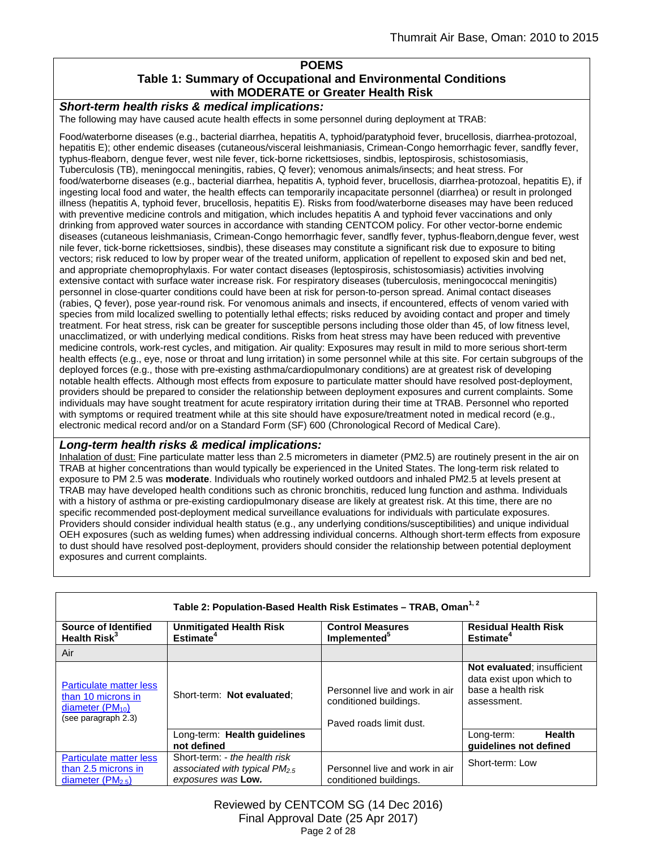## **POEMS**

# **Table 1: Summary of Occupational and Environmental Conditions with MODERATE or Greater Health Risk**

#### *Short-term health risks & medical implications:*

The following may have caused acute health effects in some personnel during deployment at TRAB:

Food/waterborne diseases (e.g., bacterial diarrhea, hepatitis A, typhoid/paratyphoid fever, brucellosis, diarrhea-protozoal, hepatitis E); other endemic diseases (cutaneous/visceral leishmaniasis, Crimean-Congo hemorrhagic fever, sandfly fever, typhus-fleaborn, dengue fever, west nile fever, tick-borne rickettsioses, sindbis, leptospirosis, schistosomiasis, Tuberculosis (TB), meningoccal meningitis, rabies, Q fever); venomous animals/insects; and heat stress. For food/waterborne diseases (e.g., bacterial diarrhea, hepatitis A, typhoid fever, brucellosis, diarrhea-protozoal, hepatitis E), if ingesting local food and water, the health effects can temporarily incapacitate personnel (diarrhea) or result in prolonged illness (hepatitis A, typhoid fever, brucellosis, hepatitis E). Risks from food/waterborne diseases may have been reduced with preventive medicine controls and mitigation, which includes hepatitis A and typhoid fever vaccinations and only drinking from approved water sources in accordance with standing CENTCOM policy. For other vector-borne endemic diseases (cutaneous leishmaniasis, Crimean-Congo hemorrhagic fever, sandfly fever, typhus-fleaborn,dengue fever, west nile fever, tick-borne rickettsioses, sindbis), these diseases may constitute a significant risk due to exposure to biting vectors; risk reduced to low by proper wear of the treated uniform, application of repellent to exposed skin and bed net, and appropriate chemoprophylaxis. For water contact diseases (leptospirosis, schistosomiasis) activities involving extensive contact with surface water increase risk. For respiratory diseases (tuberculosis, meningococcal meningitis) personnel in close-quarter conditions could have been at risk for person-to-person spread. Animal contact diseases (rabies, Q fever), pose year-round risk. For venomous animals and insects, if encountered, effects of venom varied with species from mild localized swelling to potentially lethal effects; risks reduced by avoiding contact and proper and timely treatment. For heat stress, risk can be greater for susceptible persons including those older than 45, of low fitness level, unacclimatized, or with underlying medical conditions. Risks from heat stress may have been reduced with preventive medicine controls, work-rest cycles, and mitigation. Air quality: Exposures may result in mild to more serious short-term health effects (e.g., eye, nose or throat and lung irritation) in some personnel while at this site. For certain subgroups of the deployed forces (e.g., those with pre-existing asthma/cardiopulmonary conditions) are at greatest risk of developing notable health effects. Although most effects from exposure to particulate matter should have resolved post-deployment, providers should be prepared to consider the relationship between deployment exposures and current complaints. Some individuals may have sought treatment for acute respiratory irritation during their time at TRAB. Personnel who reported with symptoms or required treatment while at this site should have exposure/treatment noted in medical record (e.g., electronic medical record and/or on a Standard Form (SF) 600 (Chronological Record of Medical Care).

#### *Long-term health risks & medical implications:*

Inhalation of dust: Fine particulate matter less than 2.5 micrometers in diameter (PM2.5) are routinely present in the air on TRAB at higher concentrations than would typically be experienced in the United States. The long-term risk related to exposure to PM 2.5 was **moderate**. Individuals who routinely worked outdoors and inhaled PM2.5 at levels present at TRAB may have developed health conditions such as chronic bronchitis, reduced lung function and asthma. Individuals with a history of asthma or pre-existing cardiopulmonary disease are likely at greatest risk. At this time, there are no specific recommended post-deployment medical surveillance evaluations for individuals with particulate exposures. Providers should consider individual health status (e.g., any underlying conditions/susceptibilities) and unique individual OEH exposures (such as welding fumes) when addressing individual concerns. Although short-term effects from exposure to dust should have resolved post-deployment, providers should consider the relationship between potential deployment exposures and current complaints.

|                                                                                              | Table 2: Population-Based Health Risk Estimates - TRAB, Oman <sup>1, 2</sup>              |                                                                                     |                                                                                              |
|----------------------------------------------------------------------------------------------|-------------------------------------------------------------------------------------------|-------------------------------------------------------------------------------------|----------------------------------------------------------------------------------------------|
| <b>Source of Identified</b><br>Health Risk <sup>3</sup>                                      | <b>Unmitigated Health Risk</b><br>Estimate <sup>4</sup>                                   | <b>Control Measures</b><br>Implemented <sup>3</sup>                                 | <b>Residual Health Risk</b><br>Estimate <sup>*</sup>                                         |
| Air                                                                                          |                                                                                           |                                                                                     |                                                                                              |
| Particulate matter less<br>than 10 microns in<br>diameter $(PM_{10})$<br>(see paragraph 2.3) | Short-term: Not evaluated:                                                                | Personnel live and work in air<br>conditioned buildings.<br>Paved roads limit dust. | Not evaluated; insufficient<br>data exist upon which to<br>base a health risk<br>assessment. |
|                                                                                              | Long-term: Health guidelines<br>not defined                                               |                                                                                     | <b>Health</b><br>Long-term:<br>quidelines not defined                                        |
| Particulate matter less<br>than 2.5 microns in<br>diameter ( $PM_{2.5}$ )                    | Short-term: - the health risk<br>associated with typical $PM_{2.5}$<br>exposures was Low. | Personnel live and work in air<br>conditioned buildings.                            | Short-term: Low                                                                              |

Reviewed by CENTCOM SG (14 Dec 2016) Final Approval Date (25 Apr 2017) Page 2 of 28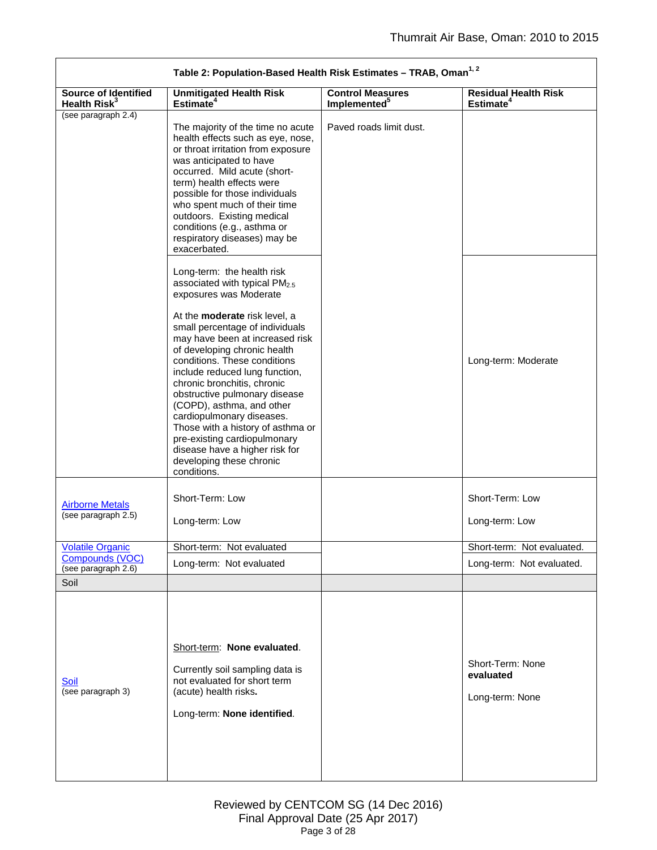<span id="page-2-2"></span><span id="page-2-1"></span><span id="page-2-0"></span>

|                                                         | Table 2: Population-Based Health Risk Estimates - TRAB, Oman <sup>1, 2</sup>                                                                                                                                                                                                                                                                                                                                                                                                                                                                                                                  |                                                     |                                                      |
|---------------------------------------------------------|-----------------------------------------------------------------------------------------------------------------------------------------------------------------------------------------------------------------------------------------------------------------------------------------------------------------------------------------------------------------------------------------------------------------------------------------------------------------------------------------------------------------------------------------------------------------------------------------------|-----------------------------------------------------|------------------------------------------------------|
| <b>Source of Identified</b><br>Health Risk <sup>3</sup> | <b>Unmitigated Health Risk</b><br>Estimate <sup>4</sup>                                                                                                                                                                                                                                                                                                                                                                                                                                                                                                                                       | <b>Control Measures</b><br>Implemented <sup>5</sup> | <b>Residual Health Risk</b><br>Estimate <sup>4</sup> |
| $(see$ paragraph 2.4)                                   | The majority of the time no acute<br>health effects such as eye, nose,<br>or throat irritation from exposure<br>was anticipated to have<br>occurred. Mild acute (short-<br>term) health effects were<br>possible for those individuals<br>who spent much of their time<br>outdoors. Existing medical<br>conditions (e.g., asthma or<br>respiratory diseases) may be<br>exacerbated.                                                                                                                                                                                                           | Paved roads limit dust.                             |                                                      |
|                                                         | Long-term: the health risk<br>associated with typical PM <sub>2.5</sub><br>exposures was Moderate<br>At the <b>moderate</b> risk level, a<br>small percentage of individuals<br>may have been at increased risk<br>of developing chronic health<br>conditions. These conditions<br>include reduced lung function,<br>chronic bronchitis, chronic<br>obstructive pulmonary disease<br>(COPD), asthma, and other<br>cardiopulmonary diseases.<br>Those with a history of asthma or<br>pre-existing cardiopulmonary<br>disease have a higher risk for<br>developing these chronic<br>conditions. |                                                     | Long-term: Moderate                                  |
| <b>Airborne Metals</b><br>(see paragraph 2.5)           | Short-Term: Low<br>Long-term: Low                                                                                                                                                                                                                                                                                                                                                                                                                                                                                                                                                             |                                                     | Short-Term: Low<br>Long-term: Low                    |
| <b>Volatile Organic</b>                                 | Short-term: Not evaluated                                                                                                                                                                                                                                                                                                                                                                                                                                                                                                                                                                     |                                                     | Short-term: Not evaluated.                           |
| Compounds (VOC)<br>(see paragraph 2.6)                  | Long-term: Not evaluated                                                                                                                                                                                                                                                                                                                                                                                                                                                                                                                                                                      |                                                     | Long-term: Not evaluated.                            |
| Soil                                                    |                                                                                                                                                                                                                                                                                                                                                                                                                                                                                                                                                                                               |                                                     |                                                      |
| Soil<br>(see paragraph 3)                               | Short-term: None evaluated.<br>Currently soil sampling data is<br>not evaluated for short term<br>(acute) health risks.<br>Long-term: None identified.                                                                                                                                                                                                                                                                                                                                                                                                                                        |                                                     | Short-Term: None<br>evaluated<br>Long-term: None     |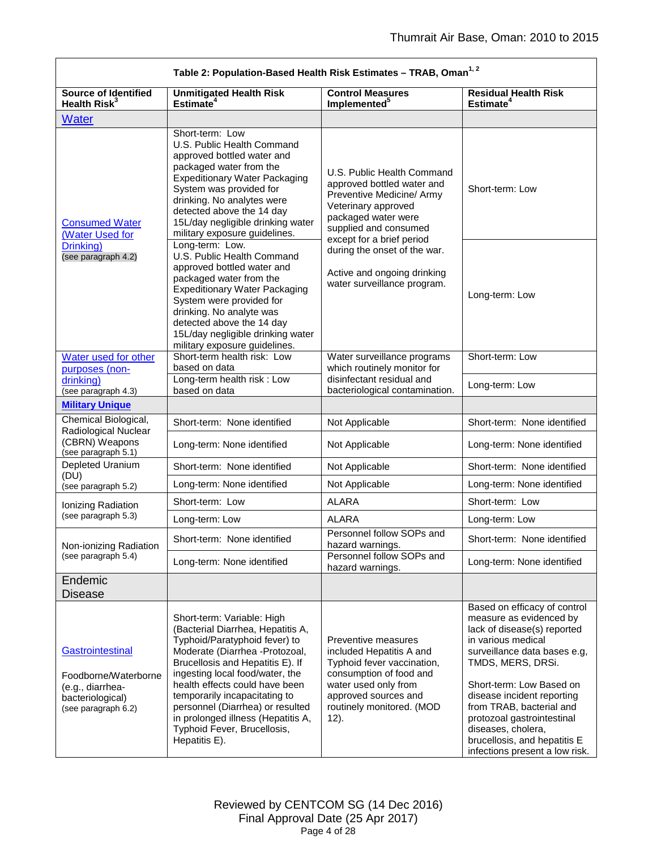<span id="page-3-2"></span><span id="page-3-1"></span><span id="page-3-0"></span>

|                                                                                                                | Table 2: Population-Based Health Risk Estimates - TRAB, Oman <sup>1, 2</sup>                                                                                                                                                                                                                                                                                                                            |                                                                                                                                                                                               |                                                                                                                                                                                                                                                                                                                                                                               |
|----------------------------------------------------------------------------------------------------------------|---------------------------------------------------------------------------------------------------------------------------------------------------------------------------------------------------------------------------------------------------------------------------------------------------------------------------------------------------------------------------------------------------------|-----------------------------------------------------------------------------------------------------------------------------------------------------------------------------------------------|-------------------------------------------------------------------------------------------------------------------------------------------------------------------------------------------------------------------------------------------------------------------------------------------------------------------------------------------------------------------------------|
| <b>Source of Identified</b><br>Health Risk <sup>3</sup>                                                        | <b>Unmitigated Health Risk</b><br>Estimate <sup>4</sup>                                                                                                                                                                                                                                                                                                                                                 | <b>Control Measures</b><br>Implemented <sup>5</sup>                                                                                                                                           | <b>Residual Health Risk</b><br>Estimate <sup>4</sup>                                                                                                                                                                                                                                                                                                                          |
| <b>Water</b>                                                                                                   |                                                                                                                                                                                                                                                                                                                                                                                                         |                                                                                                                                                                                               |                                                                                                                                                                                                                                                                                                                                                                               |
| <b>Consumed Water</b><br>(Water Used for                                                                       | Short-term: Low<br>U.S. Public Health Command<br>approved bottled water and<br>packaged water from the<br><b>Expeditionary Water Packaging</b><br>System was provided for<br>drinking. No analytes were<br>detected above the 14 day<br>15L/day negligible drinking water<br>military exposure guidelines.                                                                                              | U.S. Public Health Command<br>approved bottled water and<br>Preventive Medicine/ Army<br>Veterinary approved<br>packaged water were<br>supplied and consumed<br>except for a brief period     | Short-term: Low                                                                                                                                                                                                                                                                                                                                                               |
| Drinking)<br>(see paragraph 4.2)                                                                               | Long-term: Low.<br>U.S. Public Health Command<br>approved bottled water and<br>packaged water from the<br><b>Expeditionary Water Packaging</b><br>System were provided for<br>drinking. No analyte was<br>detected above the 14 day<br>15L/day negligible drinking water<br>military exposure guidelines.                                                                                               | during the onset of the war.<br>Active and ongoing drinking<br>water surveillance program.                                                                                                    | Long-term: Low                                                                                                                                                                                                                                                                                                                                                                |
| Water used for other<br>purposes (non-                                                                         | Short-term health risk: Low<br>based on data                                                                                                                                                                                                                                                                                                                                                            | Water surveillance programs<br>which routinely monitor for                                                                                                                                    | Short-term: Low                                                                                                                                                                                                                                                                                                                                                               |
| drinking)<br>(see paragraph 4.3)                                                                               | Long-term health risk: Low<br>based on data                                                                                                                                                                                                                                                                                                                                                             | disinfectant residual and<br>bacteriological contamination.                                                                                                                                   | Long-term: Low                                                                                                                                                                                                                                                                                                                                                                |
| <b>Military Unique</b>                                                                                         |                                                                                                                                                                                                                                                                                                                                                                                                         |                                                                                                                                                                                               |                                                                                                                                                                                                                                                                                                                                                                               |
| Chemical Biological,<br>Radiological Nuclear                                                                   | Short-term: None identified                                                                                                                                                                                                                                                                                                                                                                             | Not Applicable                                                                                                                                                                                | Short-term: None identified                                                                                                                                                                                                                                                                                                                                                   |
| (CBRN) Weapons<br>(see paragraph 5.1)                                                                          | Long-term: None identified                                                                                                                                                                                                                                                                                                                                                                              | Not Applicable                                                                                                                                                                                | Long-term: None identified                                                                                                                                                                                                                                                                                                                                                    |
| Depleted Uranium<br>(DU)                                                                                       | Short-term: None identified                                                                                                                                                                                                                                                                                                                                                                             | Not Applicable                                                                                                                                                                                | Short-term: None identified                                                                                                                                                                                                                                                                                                                                                   |
| (see paragraph 5.2)                                                                                            | Long-term: None identified                                                                                                                                                                                                                                                                                                                                                                              | Not Applicable                                                                                                                                                                                | Long-term: None identified                                                                                                                                                                                                                                                                                                                                                    |
| Ionizing Radiation                                                                                             | Short-term: Low                                                                                                                                                                                                                                                                                                                                                                                         | <b>ALARA</b>                                                                                                                                                                                  | Short-term: Low                                                                                                                                                                                                                                                                                                                                                               |
| (see paragraph 5.3)                                                                                            | Long-term: Low                                                                                                                                                                                                                                                                                                                                                                                          | <b>ALARA</b>                                                                                                                                                                                  | Long-term: Low                                                                                                                                                                                                                                                                                                                                                                |
| Non-ionizing Radiation                                                                                         | Short-term: None identified                                                                                                                                                                                                                                                                                                                                                                             | Personnel follow SOPs and<br>hazard warnings.                                                                                                                                                 | Short-term: None identified                                                                                                                                                                                                                                                                                                                                                   |
| (see paragraph 5.4)                                                                                            | Long-term: None identified                                                                                                                                                                                                                                                                                                                                                                              | Personnel follow SOPs and<br>hazard warnings.                                                                                                                                                 | Long-term: None identified                                                                                                                                                                                                                                                                                                                                                    |
| Endemic<br><b>Disease</b>                                                                                      |                                                                                                                                                                                                                                                                                                                                                                                                         |                                                                                                                                                                                               |                                                                                                                                                                                                                                                                                                                                                                               |
| <b>Gastrointestinal</b><br>Foodborne/Waterborne<br>(e.g., diarrhea-<br>bacteriological)<br>(see paragraph 6.2) | Short-term: Variable: High<br>(Bacterial Diarrhea, Hepatitis A,<br>Typhoid/Paratyphoid fever) to<br>Moderate (Diarrhea - Protozoal,<br>Brucellosis and Hepatitis E). If<br>ingesting local food/water, the<br>health effects could have been<br>temporarily incapacitating to<br>personnel (Diarrhea) or resulted<br>in prolonged illness (Hepatitis A,<br>Typhoid Fever, Brucellosis,<br>Hepatitis E). | Preventive measures<br>included Hepatitis A and<br>Typhoid fever vaccination,<br>consumption of food and<br>water used only from<br>approved sources and<br>routinely monitored. (MOD<br>12). | Based on efficacy of control<br>measure as evidenced by<br>lack of disease(s) reported<br>in various medical<br>surveillance data bases e.g,<br>TMDS, MERS, DRSi.<br>Short-term: Low Based on<br>disease incident reporting<br>from TRAB, bacterial and<br>protozoal gastrointestinal<br>diseases, cholera,<br>brucellosis, and hepatitis E<br>infections present a low risk. |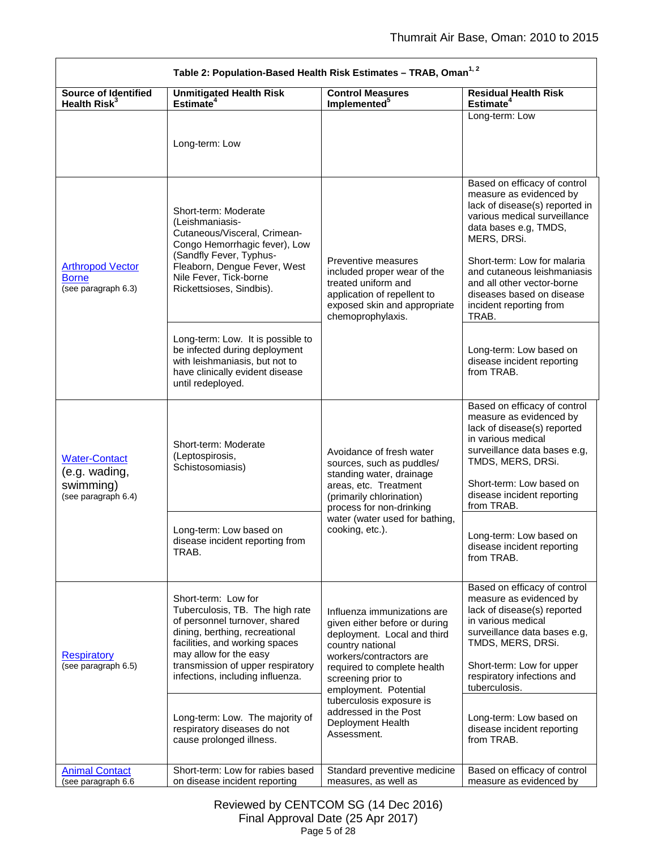|                                                                           | Table 2: Population-Based Health Risk Estimates - TRAB, Oman <sup>1, 2</sup>                                                                                                                                                                                                                                                     |                                                                                                                                                                                                                                                                                                                   |                                                                                                                                                                                                                                                                                                                                |
|---------------------------------------------------------------------------|----------------------------------------------------------------------------------------------------------------------------------------------------------------------------------------------------------------------------------------------------------------------------------------------------------------------------------|-------------------------------------------------------------------------------------------------------------------------------------------------------------------------------------------------------------------------------------------------------------------------------------------------------------------|--------------------------------------------------------------------------------------------------------------------------------------------------------------------------------------------------------------------------------------------------------------------------------------------------------------------------------|
| <b>Source of Identified</b><br>Health Risk <sup>3</sup>                   | <b>Unmitigated Health Risk</b><br>Estimate <sup>4</sup>                                                                                                                                                                                                                                                                          | <b>Control Measures</b><br>Implemented <sup>5</sup>                                                                                                                                                                                                                                                               | <b>Residual Health Risk</b><br>Estimate <sup>4</sup>                                                                                                                                                                                                                                                                           |
|                                                                           | Long-term: Low                                                                                                                                                                                                                                                                                                                   |                                                                                                                                                                                                                                                                                                                   | Long-term: Low                                                                                                                                                                                                                                                                                                                 |
| <b>Arthropod Vector</b><br><b>Borne</b><br>(see paragraph 6.3)            | Short-term: Moderate<br>(Leishmaniasis-<br>Cutaneous/Visceral, Crimean-<br>Congo Hemorrhagic fever), Low<br>(Sandfly Fever, Typhus-<br>Fleaborn, Dengue Fever, West<br>Nile Fever, Tick-borne<br>Rickettsioses, Sindbis).                                                                                                        | Preventive measures<br>included proper wear of the<br>treated uniform and<br>application of repellent to<br>exposed skin and appropriate<br>chemoprophylaxis.                                                                                                                                                     | Based on efficacy of control<br>measure as evidenced by<br>lack of disease(s) reported in<br>various medical surveillance<br>data bases e.g, TMDS,<br>MERS, DRSi.<br>Short-term: Low for malaria<br>and cutaneous leishmaniasis<br>and all other vector-borne<br>diseases based on disease<br>incident reporting from<br>TRAB. |
|                                                                           | Long-term: Low. It is possible to<br>be infected during deployment<br>with leishmaniasis, but not to<br>have clinically evident disease<br>until redeployed.                                                                                                                                                                     |                                                                                                                                                                                                                                                                                                                   | Long-term: Low based on<br>disease incident reporting<br>from TRAB.                                                                                                                                                                                                                                                            |
| <b>Water-Contact</b><br>(e.g. wading,<br>swimming)<br>(see paragraph 6.4) | Short-term: Moderate<br>(Leptospirosis,<br>Schistosomiasis)                                                                                                                                                                                                                                                                      | Avoidance of fresh water<br>sources, such as puddles/<br>standing water, drainage<br>areas, etc. Treatment<br>(primarily chlorination)<br>process for non-drinking                                                                                                                                                | Based on efficacy of control<br>measure as evidenced by<br>lack of disease(s) reported<br>in various medical<br>surveillance data bases e.g,<br>TMDS, MERS, DRSi.<br>Short-term: Low based on<br>disease incident reporting<br>from TRAB.                                                                                      |
|                                                                           | Long-term: Low based on<br>disease incident reporting from<br>TRAB.                                                                                                                                                                                                                                                              | water (water used for bathing,<br>cooking, etc.).                                                                                                                                                                                                                                                                 | Long-term: Low based on<br>disease incident reporting<br>from TRAB.                                                                                                                                                                                                                                                            |
| Respiratory<br>(see paragraph 6.5)                                        | Short-term: Low for<br>Tuberculosis, TB. The high rate<br>of personnel turnover, shared<br>dining, berthing, recreational<br>facilities, and working spaces<br>may allow for the easy<br>transmission of upper respiratory<br>infections, including influenza.<br>Long-term: Low. The majority of<br>respiratory diseases do not | Influenza immunizations are<br>given either before or during<br>deployment. Local and third<br>country national<br>workers/contractors are<br>required to complete health<br>screening prior to<br>employment. Potential<br>tuberculosis exposure is<br>addressed in the Post<br>Deployment Health<br>Assessment. | Based on efficacy of control<br>measure as evidenced by<br>lack of disease(s) reported<br>in various medical<br>surveillance data bases e.g,<br>TMDS, MERS, DRSi.<br>Short-term: Low for upper<br>respiratory infections and<br>tuberculosis.<br>Long-term: Low based on<br>disease incident reporting                         |
| <b>Animal Contact</b><br>(see paragraph 6.6                               | cause prolonged illness.<br>Short-term: Low for rabies based<br>on disease incident reporting                                                                                                                                                                                                                                    | Standard preventive medicine<br>measures, as well as                                                                                                                                                                                                                                                              | from TRAB.<br>Based on efficacy of control<br>measure as evidenced by                                                                                                                                                                                                                                                          |

<span id="page-4-2"></span><span id="page-4-1"></span><span id="page-4-0"></span>Reviewed by CENTCOM SG (14 Dec 2016) Final Approval Date (25 Apr 2017) Page 5 of 28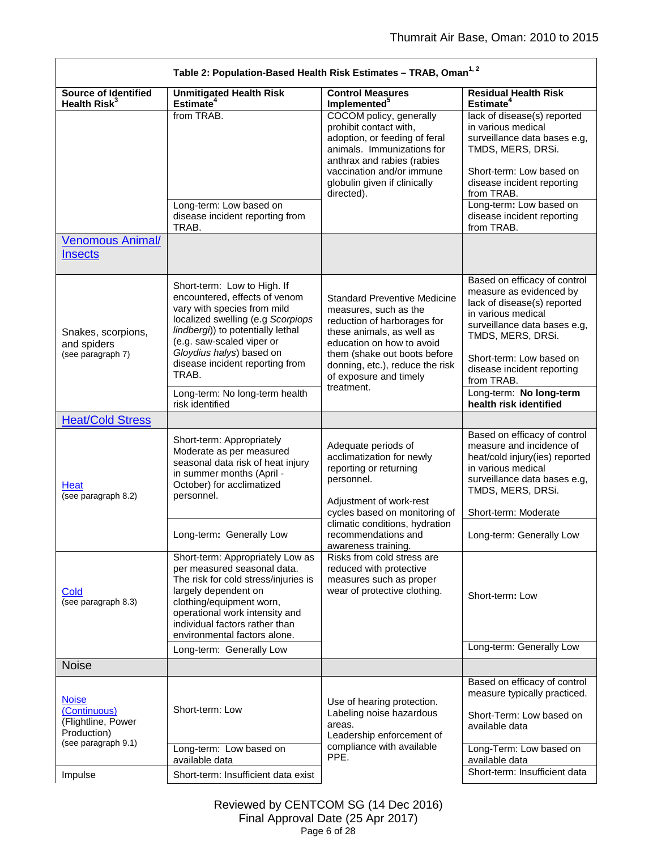<span id="page-5-3"></span><span id="page-5-2"></span><span id="page-5-1"></span><span id="page-5-0"></span>

|                                                                                          | Table 2: Population-Based Health Risk Estimates - TRAB, Oman <sup>1, 2</sup>                                                                                                                                                                                               |                                                                                                                                                                                                                                                    |                                                                                                                                                                                                                                           |
|------------------------------------------------------------------------------------------|----------------------------------------------------------------------------------------------------------------------------------------------------------------------------------------------------------------------------------------------------------------------------|----------------------------------------------------------------------------------------------------------------------------------------------------------------------------------------------------------------------------------------------------|-------------------------------------------------------------------------------------------------------------------------------------------------------------------------------------------------------------------------------------------|
| <b>Source of Identified</b><br>Health Risk <sup>3</sup>                                  | <b>Unmitigated Health Risk</b><br>Estimate <sup>4</sup>                                                                                                                                                                                                                    | <b>Control Measures</b><br>Implemented <sup>5</sup>                                                                                                                                                                                                | <b>Residual Health Risk</b><br>Estimate <sup>4</sup>                                                                                                                                                                                      |
|                                                                                          | from TRAB.                                                                                                                                                                                                                                                                 | COCOM policy, generally<br>prohibit contact with,<br>adoption, or feeding of feral<br>animals. Immunizations for<br>anthrax and rabies (rabies<br>vaccination and/or immune<br>globulin given if clinically<br>directed).                          | lack of disease(s) reported<br>in various medical<br>surveillance data bases e.g,<br>TMDS, MERS, DRSi.<br>Short-term: Low based on<br>disease incident reporting<br>from TRAB.                                                            |
|                                                                                          | Long-term: Low based on<br>disease incident reporting from<br>TRAB.                                                                                                                                                                                                        |                                                                                                                                                                                                                                                    | Long-term: Low based on<br>disease incident reporting<br>from TRAB.                                                                                                                                                                       |
| <b>Venomous Animal/</b><br><b>Insects</b>                                                |                                                                                                                                                                                                                                                                            |                                                                                                                                                                                                                                                    |                                                                                                                                                                                                                                           |
| Snakes, scorpions,<br>and spiders<br>(see paragraph 7)                                   | Short-term: Low to High. If<br>encountered, effects of venom<br>vary with species from mild<br>localized swelling (e.g Scorpiops<br>lindbergi)) to potentially lethal<br>(e.g. saw-scaled viper or<br>Gloydius halys) based on<br>disease incident reporting from<br>TRAB. | <b>Standard Preventive Medicine</b><br>measures, such as the<br>reduction of harborages for<br>these animals, as well as<br>education on how to avoid<br>them (shake out boots before<br>donning, etc.), reduce the risk<br>of exposure and timely | Based on efficacy of control<br>measure as evidenced by<br>lack of disease(s) reported<br>in various medical<br>surveillance data bases e.g,<br>TMDS, MERS, DRSi.<br>Short-term: Low based on<br>disease incident reporting<br>from TRAB. |
|                                                                                          | Long-term: No long-term health<br>risk identified                                                                                                                                                                                                                          | treatment.                                                                                                                                                                                                                                         | Long-term: No long-term<br>health risk identified                                                                                                                                                                                         |
| <b>Heat/Cold Stress</b>                                                                  |                                                                                                                                                                                                                                                                            |                                                                                                                                                                                                                                                    |                                                                                                                                                                                                                                           |
| Heat<br>(see paragraph 8.2)                                                              | Short-term: Appropriately<br>Moderate as per measured<br>seasonal data risk of heat injury<br>in summer months (April -<br>October) for acclimatized<br>personnel.                                                                                                         | Adequate periods of<br>acclimatization for newly<br>reporting or returning<br>personnel.<br>Adjustment of work-rest<br>cycles based on monitoring of                                                                                               | Based on efficacy of control<br>measure and incidence of<br>heat/cold injury(ies) reported<br>in various medical<br>surveillance data bases e.g,<br>TMDS, MERS, DRSi.<br>Short-term: Moderate                                             |
|                                                                                          | Long-term: Generally Low                                                                                                                                                                                                                                                   | climatic conditions, hydration<br>recommendations and<br>awareness training.                                                                                                                                                                       | Long-term: Generally Low                                                                                                                                                                                                                  |
| Cold<br>(see paragraph 8.3)                                                              | Short-term: Appropriately Low as<br>per measured seasonal data.<br>The risk for cold stress/injuries is<br>largely dependent on<br>clothing/equipment worn,<br>operational work intensity and<br>individual factors rather than<br>environmental factors alone.            | Risks from cold stress are<br>reduced with protective<br>measures such as proper<br>wear of protective clothing.                                                                                                                                   | Short-term: Low                                                                                                                                                                                                                           |
|                                                                                          | Long-term: Generally Low                                                                                                                                                                                                                                                   |                                                                                                                                                                                                                                                    | Long-term: Generally Low                                                                                                                                                                                                                  |
| <b>Noise</b>                                                                             |                                                                                                                                                                                                                                                                            |                                                                                                                                                                                                                                                    |                                                                                                                                                                                                                                           |
| <b>Noise</b><br>(Continuous)<br>(Flightline, Power<br>Production)<br>(see paragraph 9.1) | Short-term: Low                                                                                                                                                                                                                                                            | Use of hearing protection.<br>Labeling noise hazardous<br>areas.<br>Leadership enforcement of                                                                                                                                                      | Based on efficacy of control<br>measure typically practiced.<br>Short-Term: Low based on<br>available data                                                                                                                                |
|                                                                                          | Long-term: Low based on<br>available data                                                                                                                                                                                                                                  | compliance with available<br>PPE.                                                                                                                                                                                                                  | Long-Term: Low based on<br>available data<br>Short-term: Insufficient data                                                                                                                                                                |
| Impulse                                                                                  | Short-term: Insufficient data exist                                                                                                                                                                                                                                        |                                                                                                                                                                                                                                                    |                                                                                                                                                                                                                                           |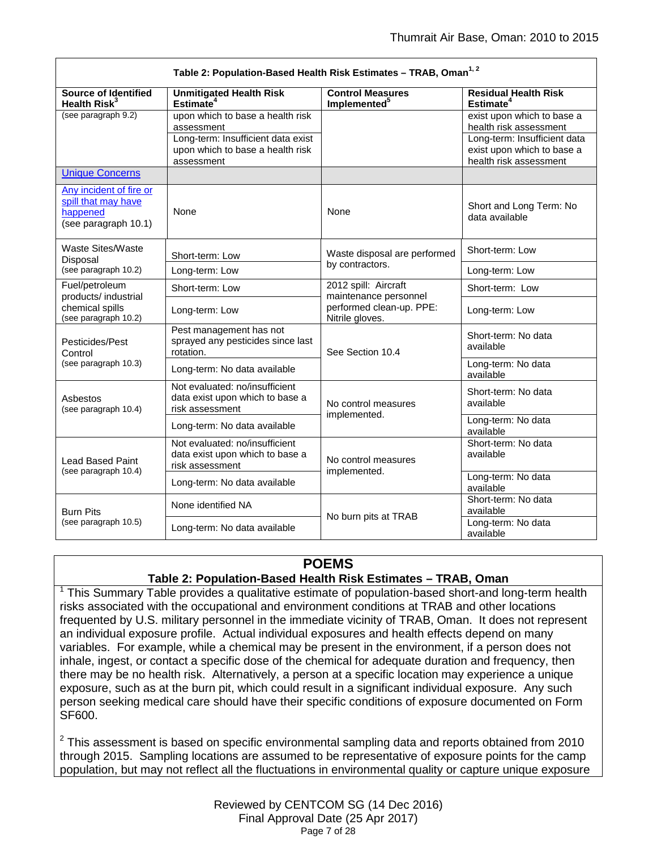<span id="page-6-0"></span>

|                                                                                    | Table 2: Population-Based Health Risk Estimates - TRAB, Oman <sup>1, 2</sup>         |                                                                                              |                                                                                      |
|------------------------------------------------------------------------------------|--------------------------------------------------------------------------------------|----------------------------------------------------------------------------------------------|--------------------------------------------------------------------------------------|
| <b>Source of Identified</b><br>Health Risk <sup>3</sup>                            | <b>Unmitigated Health Risk</b><br>Estimate <sup>4</sup>                              | <b>Control Measures</b><br>Implemented <sup>5</sup>                                          | <b>Residual Health Risk</b><br>Estimate <sup>4</sup>                                 |
| (see paragraph 9.2)                                                                | upon which to base a health risk<br>assessment                                       |                                                                                              | exist upon which to base a<br>health risk assessment                                 |
|                                                                                    | Long-term: Insufficient data exist<br>upon which to base a health risk<br>assessment |                                                                                              | Long-term: Insufficient data<br>exist upon which to base a<br>health risk assessment |
| <b>Unique Concerns</b>                                                             |                                                                                      |                                                                                              |                                                                                      |
| Any incident of fire or<br>spill that may have<br>happened<br>(see paragraph 10.1) | None                                                                                 | None                                                                                         | Short and Long Term: No<br>data available                                            |
| <b>Waste Sites/Waste</b><br>Disposal                                               | Short-term: Low                                                                      | Waste disposal are performed                                                                 | Short-term: Low                                                                      |
| (see paragraph 10.2)                                                               | Long-term: Low                                                                       | by contractors.                                                                              | Long-term: Low                                                                       |
| Fuel/petroleum<br>products/ industrial                                             | Short-term: Low                                                                      | 2012 spill: Aircraft<br>maintenance personnel<br>performed clean-up. PPE:<br>Nitrile gloves. | Short-term: Low                                                                      |
| chemical spills<br>(see paragraph 10.2)                                            | Long-term: Low                                                                       |                                                                                              | Long-term: Low                                                                       |
| Pesticides/Pest<br>Control                                                         | Pest management has not<br>sprayed any pesticides since last<br>rotation.            | See Section 10.4                                                                             | Short-term: No data<br>available                                                     |
| (see paragraph 10.3)                                                               | Long-term: No data available                                                         |                                                                                              | Long-term: No data<br>available                                                      |
| Asbestos<br>(see paragraph 10.4)                                                   | Not evaluated: no/insufficient<br>data exist upon which to base a<br>risk assessment | No control measures<br>implemented.                                                          | Short-term: No data<br>available                                                     |
|                                                                                    | Long-term: No data available                                                         |                                                                                              | Long-term: No data<br>available                                                      |
| <b>Lead Based Paint</b><br>(see paragraph 10.4)                                    | Not evaluated: no/insufficient<br>data exist upon which to base a<br>risk assessment | No control measures<br>implemented.                                                          | Short-term: No data<br>available                                                     |
|                                                                                    | Long-term: No data available                                                         |                                                                                              | Long-term: No data<br>available                                                      |
| <b>Burn Pits</b>                                                                   | None identified NA                                                                   |                                                                                              | Short-term: No data<br>available                                                     |
| (see paragraph 10.5)                                                               | Long-term: No data available                                                         | No burn pits at TRAB                                                                         | Long-term: No data<br>available                                                      |

# **POEMS**

# **Table 2: Population-Based Health Risk Estimates – TRAB, Oman**

 $1$  This Summary Table provides a qualitative estimate of population-based short-and long-term health risks associated with the occupational and environment conditions at TRAB and other locations frequented by U.S. military personnel in the immediate vicinity of TRAB, Oman. It does not represent an individual exposure profile. Actual individual exposures and health effects depend on many variables. For example, while a chemical may be present in the environment, if a person does not inhale, ingest, or contact a specific dose of the chemical for adequate duration and frequency, then there may be no health risk. Alternatively, a person at a specific location may experience a unique exposure, such as at the burn pit, which could result in a significant individual exposure. Any such person seeking medical care should have their specific conditions of exposure documented on Form SF600.

 $2$  This assessment is based on specific environmental sampling data and reports obtained from 2010 through 2015. Sampling locations are assumed to be representative of exposure points for the camp population, but may not reflect all the fluctuations in environmental quality or capture unique exposure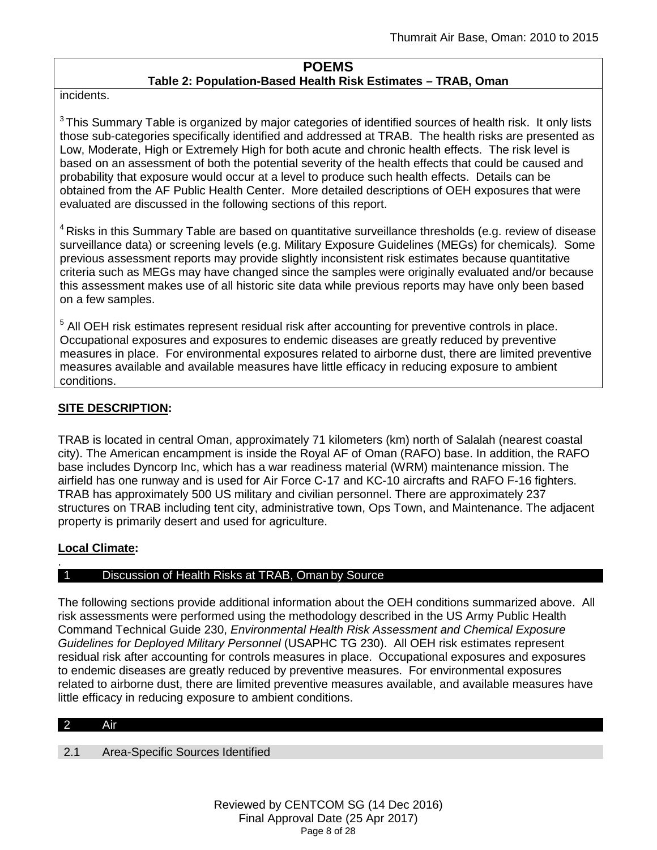#### **POEMS Table 2: Population-Based Health Risk Estimates – TRAB, Oman**

## incidents.

<sup>3</sup> This Summary Table is organized by major categories of identified sources of health risk. It only lists those sub-categories specifically identified and addressed at TRAB. The health risks are presented as Low, Moderate, High or Extremely High for both acute and chronic health effects. The risk level is based on an assessment of both the potential severity of the health effects that could be caused and probability that exposure would occur at a level to produce such health effects. Details can be obtained from the AF Public Health Center. More detailed descriptions of OEH exposures that were evaluated are discussed in the following sections of this report.

 $4$  Risks in this Summary Table are based on quantitative surveillance thresholds (e.g. review of disease surveillance data) or screening levels (e.g. Military Exposure Guidelines (MEGs) for chemicals*).* Some previous assessment reports may provide slightly inconsistent risk estimates because quantitative criteria such as MEGs may have changed since the samples were originally evaluated and/or because this assessment makes use of all historic site data while previous reports may have only been based on a few samples.

<sup>5</sup> All OEH risk estimates represent residual risk after accounting for preventive controls in place. Occupational exposures and exposures to endemic diseases are greatly reduced by preventive measures in place. For environmental exposures related to airborne dust, there are limited preventive measures available and available measures have little efficacy in reducing exposure to ambient conditions.

# **SITE DESCRIPTION:**

TRAB is located in central Oman, approximately 71 kilometers (km) north of Salalah (nearest coastal city). The American encampment is inside the Royal AF of Oman (RAFO) base. In addition, the RAFO base includes Dyncorp Inc, which has a war readiness material (WRM) maintenance mission. The airfield has one runway and is used for Air Force C-17 and KC-10 aircrafts and RAFO F-16 fighters. TRAB has approximately 500 US military and civilian personnel. There are approximately 237 structures on TRAB including tent city, administrative town, Ops Town, and Maintenance. The adjacent property is primarily desert and used for agriculture.

# **Local Climate:**

.

# 1 Discussion of Health Risks at TRAB, Oman by Source

The following sections provide additional information about the OEH conditions summarized above. All risk assessments were performed using the methodology described in the US Army Public Health Command Technical Guide 230, *Environmental Health Risk Assessment and Chemical Exposure Guidelines for Deployed Military Personnel* (USAPHC TG 230). All OEH risk estimates represent residual risk after accounting for controls measures in place. Occupational exposures and exposures to endemic diseases are greatly reduced by preventive measures. For environmental exposures related to airborne dust, there are limited preventive measures available, and available measures have little efficacy in reducing exposure to ambient conditions.

#### 2 Air

# 2.1 Area-Specific Sources Identified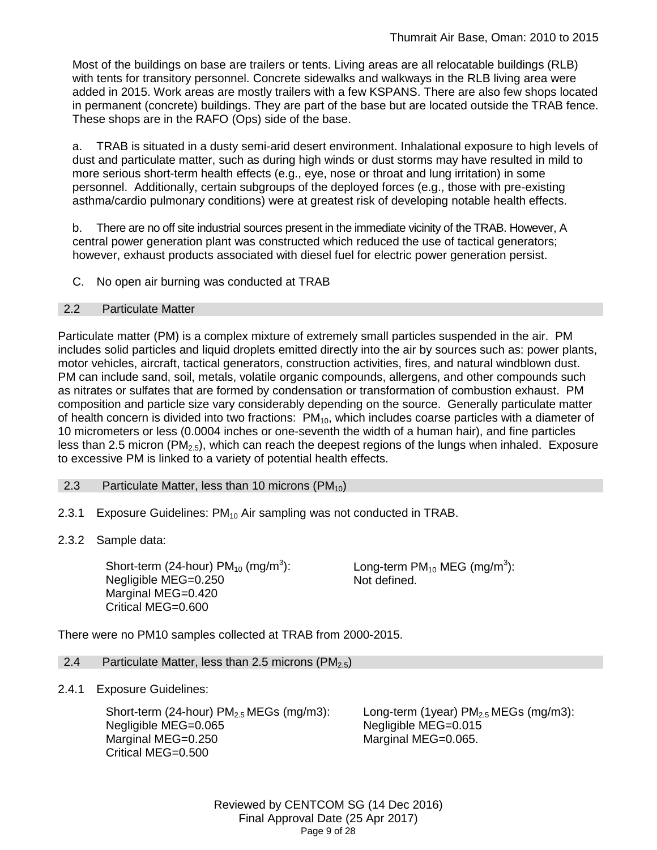Most of the buildings on base are trailers or tents. Living areas are all relocatable buildings (RLB) with tents for transitory personnel. Concrete sidewalks and walkways in the RLB living area were added in 2015. Work areas are mostly trailers with a few KSPANS. There are also few shops located in permanent (concrete) buildings. They are part of the base but are located outside the TRAB fence. These shops are in the RAFO (Ops) side of the base.

a. TRAB is situated in a dusty semi-arid desert environment. Inhalational exposure to high levels of dust and particulate matter, such as during high winds or dust storms may have resulted in mild to more serious short-term health effects (e.g., eye, nose or throat and lung irritation) in some personnel. Additionally, certain subgroups of the deployed forces (e.g., those with pre-existing asthma/cardio pulmonary conditions) were at greatest risk of developing notable health effects.

b. There are no off site industrial sources present in the immediate vicinity of the TRAB. However, A central power generation plant was constructed which reduced the use of tactical generators; however, exhaust products associated with diesel fuel for electric power generation persist.

C. No open air burning was conducted at TRAB

## 2.2 Particulate Matter

Particulate matter (PM) is a complex mixture of extremely small particles suspended in the air. PM includes solid particles and liquid droplets emitted directly into the air by sources such as: power plants, motor vehicles, aircraft, tactical generators, construction activities, fires, and natural windblown dust. PM can include sand, soil, metals, volatile organic compounds, allergens, and other compounds such as nitrates or sulfates that are formed by condensation or transformation of combustion exhaust. PM composition and particle size vary considerably depending on the source. Generally particulate matter of health concern is divided into two fractions:  $PM_{10}$ , which includes coarse particles with a diameter of 10 micrometers or less (0.0004 inches or one-seventh the width of a human hair), and fine particles less than 2.5 micron ( $PM_{2.5}$ ), which can reach the deepest regions of the lungs when inhaled. Exposure to excessive PM is linked to a variety of potential health effects.

#### 2.3 Particulate Matter, less than 10 microns  $(PM_{10})$

2.3.1 Exposure Guidelines:  $PM_{10}$  Air sampling was not conducted in TRAB.

2.3.2 Sample data:

<span id="page-8-0"></span>Short-term (24-hour)  $PM_{10}$  (mg/m<sup>3</sup>): Negligible MEG=0.250 Marginal MEG=0.420 Critical MEG=0.600

Long-term  $PM_{10}$  MEG (mg/m<sup>3</sup>): Not defined.

There were no PM10 samples collected at TRAB from 2000-2015.

- <span id="page-8-1"></span>2.4 Particulate Matter, less than 2.5 microns (PM<sub>2.5</sub>)
- 2.4.1 Exposure Guidelines:

Short-term (24-hour)  $PM<sub>2.5</sub> MEGs$  (mg/m3): Negligible MEG=0.065 Marginal MEG=0.250 Critical MEG=0.500

Long-term (1year)  $PM<sub>2.5</sub> MEGs$  (mg/m3): Negligible MEG=0.015 Marginal MEG=0.065.

Reviewed by CENTCOM SG (14 Dec 2016) Final Approval Date (25 Apr 2017) Page 9 of 28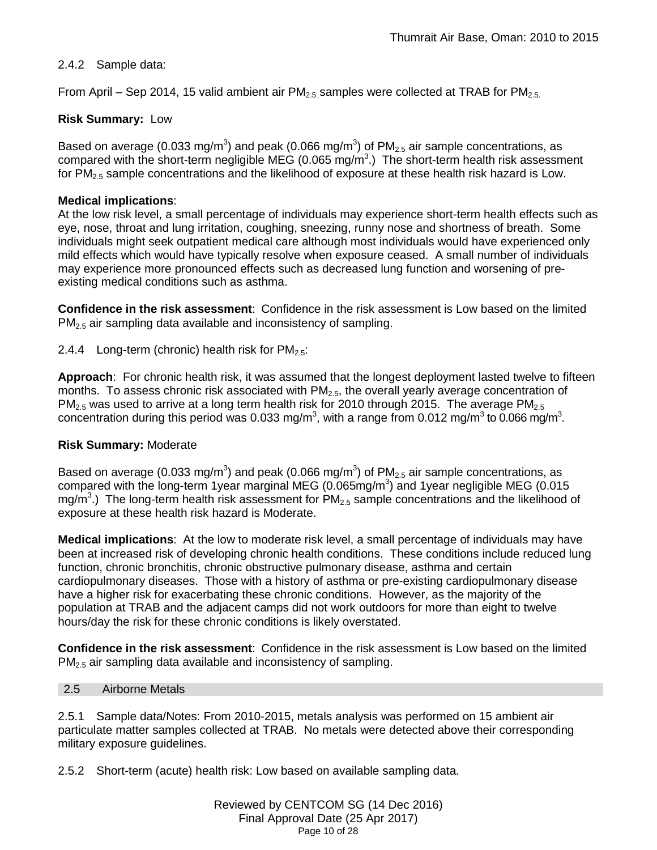# 2.4.2 Sample data:

From April – Sep 2014, 15 valid ambient air  $PM_{2.5}$  samples were collected at TRAB for PM<sub>2.5.</sub>

# **Risk Summary:** Low

Based on average (0.033 mg/m<sup>3</sup>) and peak (0.066 mg/m<sup>3</sup>) of PM<sub>2.5</sub> air sample concentrations, as compared with the short-term negligible MEG (0.065 mg/m<sup>3</sup>.) The short-term health risk assessment for  $PM_{2.5}$  sample concentrations and the likelihood of exposure at these health risk hazard is Low.

## **Medical implications**:

At the low risk level, a small percentage of individuals may experience short-term health effects such as eye, nose, throat and lung irritation, coughing, sneezing, runny nose and shortness of breath. Some individuals might seek outpatient medical care although most individuals would have experienced only mild effects which would have typically resolve when exposure ceased. A small number of individuals may experience more pronounced effects such as decreased lung function and worsening of preexisting medical conditions such as asthma.

**Confidence in the risk assessment**: Confidence in the risk assessment is Low based on the limited  $PM<sub>2.5</sub>$  air sampling data available and inconsistency of sampling.

2.4.4 Long-term (chronic) health risk for  $PM_{2.5}$ :

**Approach**: For chronic health risk, it was assumed that the longest deployment lasted twelve to fifteen months. To assess chronic risk associated with PM<sub>2.5</sub>, the overall yearly average concentration of  $PM_{2.5}$  was used to arrive at a long term health risk for 2010 through 2015. The average PM<sub>2.5</sub> concentration during this period was 0.033 mg/m<sup>3</sup>, with a range from 0.012 mg/m<sup>3</sup> to 0.066 mg/m<sup>3</sup>.

# **Risk Summary:** Moderate

Based on average (0.033 mg/m<sup>3</sup>) and peak (0.066 mg/m<sup>3</sup>) of PM<sub>2.5</sub> air sample concentrations, as compared with the long-term 1year marginal MEG (0.065mg/m<sup>3</sup>) and 1year negligible MEG (0.015 mg/m<sup>3</sup>.) The long-term health risk assessment for  $PM_{2.5}$  sample concentrations and the likelihood of exposure at these health risk hazard is Moderate.

**Medical implications**: At the low to moderate risk level, a small percentage of individuals may have been at increased risk of developing chronic health conditions. These conditions include reduced lung function, chronic bronchitis, chronic obstructive pulmonary disease, asthma and certain cardiopulmonary diseases. Those with a history of asthma or pre-existing cardiopulmonary disease have a higher risk for exacerbating these chronic conditions. However, as the majority of the population at TRAB and the adjacent camps did not work outdoors for more than eight to twelve hours/day the risk for these chronic conditions is likely overstated.

**Confidence in the risk assessment**: Confidence in the risk assessment is Low based on the limited  $PM<sub>2.5</sub>$  air sampling data available and inconsistency of sampling.

#### <span id="page-9-0"></span>2.5 Airborne Metals

2.5.1 Sample data/Notes: From 2010-2015, metals analysis was performed on 15 ambient air particulate matter samples collected at TRAB. No metals were detected above their corresponding military exposure guidelines.

2.5.2 Short-term (acute) health risk: Low based on available sampling data.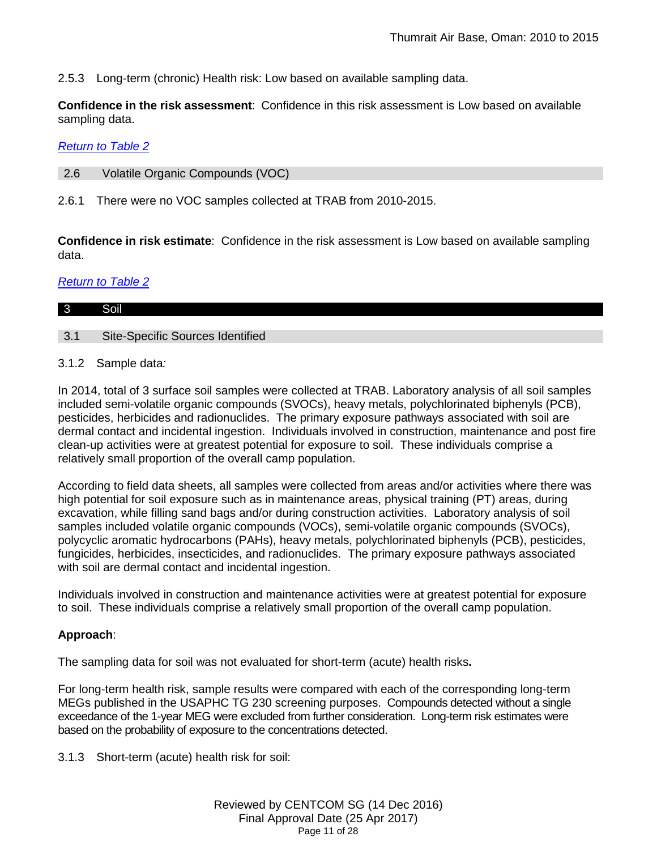2.5.3 Long-term (chronic) Health risk: Low based on available sampling data.

**Confidence in the risk assessment**: Confidence in this risk assessment is Low based on available sampling data.

## *[Return to Table 2](#page-2-0)*

<span id="page-10-0"></span>

| 2.6 | Volatile Organic Compounds (VOC) |  |
|-----|----------------------------------|--|
|-----|----------------------------------|--|

2.6.1 There were no VOC samples collected at TRAB from 2010-2015.

**Confidence in risk estimate**: Confidence in the risk assessment is Low based on available sampling data.

#### *[Return to Table 2](#page-2-1)*

# <span id="page-10-1"></span>3 Soil

## 3.1 Site-Specific Sources Identified

#### 3.1.2 Sample data*:*

In 2014, total of 3 surface soil samples were collected at TRAB. Laboratory analysis of all soil samples included semi-volatile organic compounds (SVOCs), heavy metals, polychlorinated biphenyls (PCB), pesticides, herbicides and radionuclides. The primary exposure pathways associated with soil are dermal contact and incidental ingestion. Individuals involved in construction, maintenance and post fire clean-up activities were at greatest potential for exposure to soil. These individuals comprise a relatively small proportion of the overall camp population.

According to field data sheets, all samples were collected from areas and/or activities where there was high potential for soil exposure such as in maintenance areas, physical training (PT) areas, during excavation, while filling sand bags and/or during construction activities. Laboratory analysis of soil samples included volatile organic compounds (VOCs), semi-volatile organic compounds (SVOCs), polycyclic aromatic hydrocarbons (PAHs), heavy metals, polychlorinated biphenyls (PCB), pesticides, fungicides, herbicides, insecticides, and radionuclides. The primary exposure pathways associated with soil are dermal contact and incidental ingestion.

Individuals involved in construction and maintenance activities were at greatest potential for exposure to soil. These individuals comprise a relatively small proportion of the overall camp population.

# **Approach**:

The sampling data for soil was not evaluated for short-term (acute) health risks**.** 

For long-term health risk, sample results were compared with each of the corresponding long-term MEGs published in the USAPHC TG 230 screening purposes. Compounds detected without a single exceedance of the 1-year MEG were excluded from further consideration. Long-term risk estimates were based on the probability of exposure to the concentrations detected.

3.1.3 Short-term (acute) health risk for soil: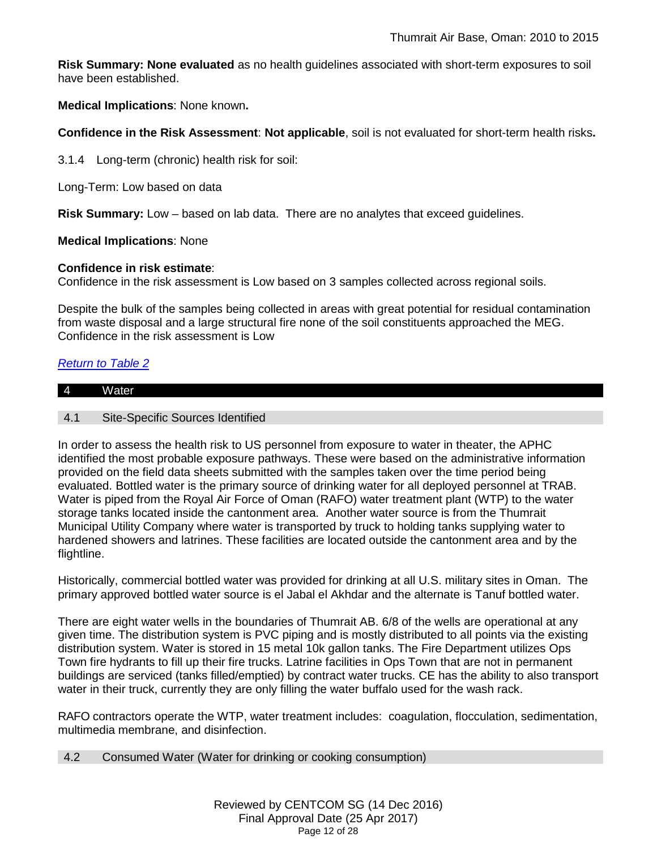**Risk Summary: None evaluated** as no health guidelines associated with short-term exposures to soil have been established.

**Medical Implications**: None known**.**

**Confidence in the Risk Assessment**: **Not applicable**, soil is not evaluated for short-term health risks**.**

3.1.4 Long-term (chronic) health risk for soil:

Long-Term: Low based on data

**Risk Summary:** Low – based on lab data. There are no analytes that exceed guidelines.

**Medical Implications**: None

#### **Confidence in risk estimate**:

Confidence in the risk assessment is Low based on 3 samples collected across regional soils.

Despite the bulk of the samples being collected in areas with great potential for residual contamination from waste disposal and a large structural fire none of the soil constituents approached the MEG. Confidence in the risk assessment is Low

# *[Return to Table 2](#page-2-2)*

<span id="page-11-0"></span>

| $\overline{4}$ | Water                            |
|----------------|----------------------------------|
|                |                                  |
| 4.1            | Site-Specific Sources Identified |

In order to assess the health risk to US personnel from exposure to water in theater, the APHC identified the most probable exposure pathways. These were based on the administrative information provided on the field data sheets submitted with the samples taken over the time period being evaluated. Bottled water is the primary source of drinking water for all deployed personnel at TRAB. Water is piped from the Royal Air Force of Oman (RAFO) water treatment plant (WTP) to the water storage tanks located inside the cantonment area. Another water source is from the Thumrait Municipal Utility Company where water is transported by truck to holding tanks supplying water to hardened showers and latrines. These facilities are located outside the cantonment area and by the flightline.

Historically, commercial bottled water was provided for drinking at all U.S. military sites in Oman. The primary approved bottled water source is el Jabal el Akhdar and the alternate is Tanuf bottled water.

There are eight water wells in the boundaries of Thumrait AB. 6/8 of the wells are operational at any given time. The distribution system is PVC piping and is mostly distributed to all points via the existing distribution system. Water is stored in 15 metal 10k gallon tanks. The Fire Department utilizes Ops Town fire hydrants to fill up their fire trucks. Latrine facilities in Ops Town that are not in permanent buildings are serviced (tanks filled/emptied) by contract water trucks. CE has the ability to also transport water in their truck, currently they are only filling the water buffalo used for the wash rack.

RAFO contractors operate the WTP, water treatment includes: coagulation, flocculation, sedimentation, multimedia membrane, and disinfection.

<span id="page-11-1"></span>4.2 Consumed Water (Water for drinking or cooking consumption)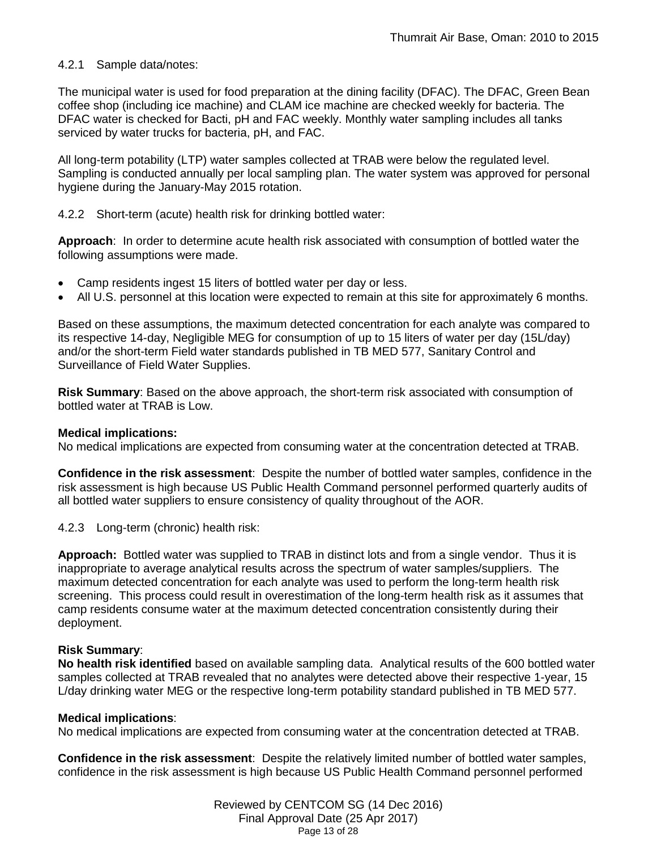# 4.2.1 Sample data/notes:

The municipal water is used for food preparation at the dining facility (DFAC). The DFAC, Green Bean coffee shop (including ice machine) and CLAM ice machine are checked weekly for bacteria. The DFAC water is checked for Bacti, pH and FAC weekly. Monthly water sampling includes all tanks serviced by water trucks for bacteria, pH, and FAC.

All long-term potability (LTP) water samples collected at TRAB were below the regulated level. Sampling is conducted annually per local sampling plan. The water system was approved for personal hygiene during the January-May 2015 rotation.

## 4.2.2 Short-term (acute) health risk for drinking bottled water:

**Approach**: In order to determine acute health risk associated with consumption of bottled water the following assumptions were made.

- Camp residents ingest 15 liters of bottled water per day or less.
- All U.S. personnel at this location were expected to remain at this site for approximately 6 months.

Based on these assumptions, the maximum detected concentration for each analyte was compared to its respective 14-day, Negligible MEG for consumption of up to 15 liters of water per day (15L/day) and/or the short-term Field water standards published in TB MED 577, Sanitary Control and Surveillance of Field Water Supplies.

**Risk Summary**: Based on the above approach, the short-term risk associated with consumption of bottled water at TRAB is Low.

# **Medical implications:**

No medical implications are expected from consuming water at the concentration detected at TRAB.

**Confidence in the risk assessment**: Despite the number of bottled water samples, confidence in the risk assessment is high because US Public Health Command personnel performed quarterly audits of all bottled water suppliers to ensure consistency of quality throughout of the AOR.

#### 4.2.3 Long-term (chronic) health risk:

**Approach:** Bottled water was supplied to TRAB in distinct lots and from a single vendor. Thus it is inappropriate to average analytical results across the spectrum of water samples/suppliers. The maximum detected concentration for each analyte was used to perform the long-term health risk screening. This process could result in overestimation of the long-term health risk as it assumes that camp residents consume water at the maximum detected concentration consistently during their deployment.

#### **Risk Summary**:

**No health risk identified** based on available sampling data. Analytical results of the 600 bottled water samples collected at TRAB revealed that no analytes were detected above their respective 1-year, 15 L/day drinking water MEG or the respective long-term potability standard published in TB MED 577.

#### **Medical implications**:

No medical implications are expected from consuming water at the concentration detected at TRAB.

**Confidence in the risk assessment**: Despite the relatively limited number of bottled water samples, confidence in the risk assessment is high because US Public Health Command personnel performed

> Reviewed by CENTCOM SG (14 Dec 2016) Final Approval Date (25 Apr 2017) Page 13 of 28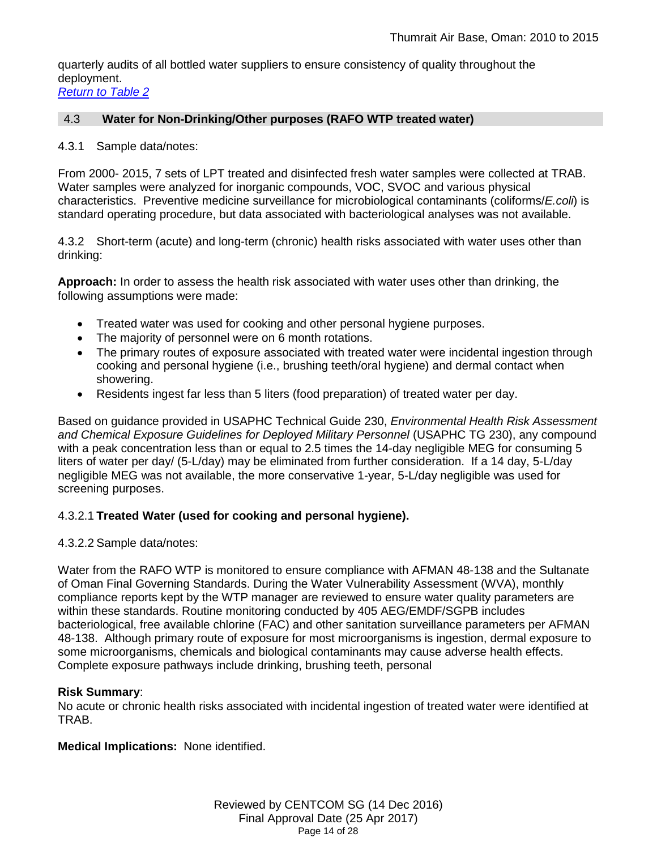quarterly audits of all bottled water suppliers to ensure consistency of quality throughout the deployment.

*[Return to Table 2](#page-3-0)*

#### <span id="page-13-0"></span>4.3 **Water for Non-Drinking/Other purposes (RAFO WTP treated water)**

#### 4.3.1 Sample data/notes:

From 2000- 2015, 7 sets of LPT treated and disinfected fresh water samples were collected at TRAB. Water samples were analyzed for inorganic compounds, VOC, SVOC and various physical characteristics. Preventive medicine surveillance for microbiological contaminants (coliforms/*E.coli*) is standard operating procedure, but data associated with bacteriological analyses was not available.

4.3.2 Short-term (acute) and long-term (chronic) health risks associated with water uses other than drinking:

**Approach:** In order to assess the health risk associated with water uses other than drinking, the following assumptions were made:

- Treated water was used for cooking and other personal hygiene purposes.
- The majority of personnel were on 6 month rotations.
- The primary routes of exposure associated with treated water were incidental ingestion through cooking and personal hygiene (i.e., brushing teeth/oral hygiene) and dermal contact when showering.
- Residents ingest far less than 5 liters (food preparation) of treated water per day.

Based on guidance provided in USAPHC Technical Guide 230, *Environmental Health Risk Assessment and Chemical Exposure Guidelines for Deployed Military Personnel* (USAPHC TG 230), any compound with a peak concentration less than or equal to 2.5 times the 14-day negligible MEG for consuming 5 liters of water per day/ (5-L/day) may be eliminated from further consideration. If a 14 day, 5-L/day negligible MEG was not available, the more conservative 1-year, 5-L/day negligible was used for screening purposes.

#### 4.3.2.1 **Treated Water (used for cooking and personal hygiene).**

#### 4.3.2.2 Sample data/notes:

Water from the RAFO WTP is monitored to ensure compliance with AFMAN 48-138 and the Sultanate of Oman Final Governing Standards. During the Water Vulnerability Assessment (WVA), monthly compliance reports kept by the WTP manager are reviewed to ensure water quality parameters are within these standards. Routine monitoring conducted by 405 AEG/EMDF/SGPB includes bacteriological, free available chlorine (FAC) and other sanitation surveillance parameters per AFMAN 48-138. Although primary route of exposure for most microorganisms is ingestion, dermal exposure to some microorganisms, chemicals and biological contaminants may cause adverse health effects. Complete exposure pathways include drinking, brushing teeth, personal

#### **Risk Summary**:

No acute or chronic health risks associated with incidental ingestion of treated water were identified at TRAB.

**Medical Implications:** None identified.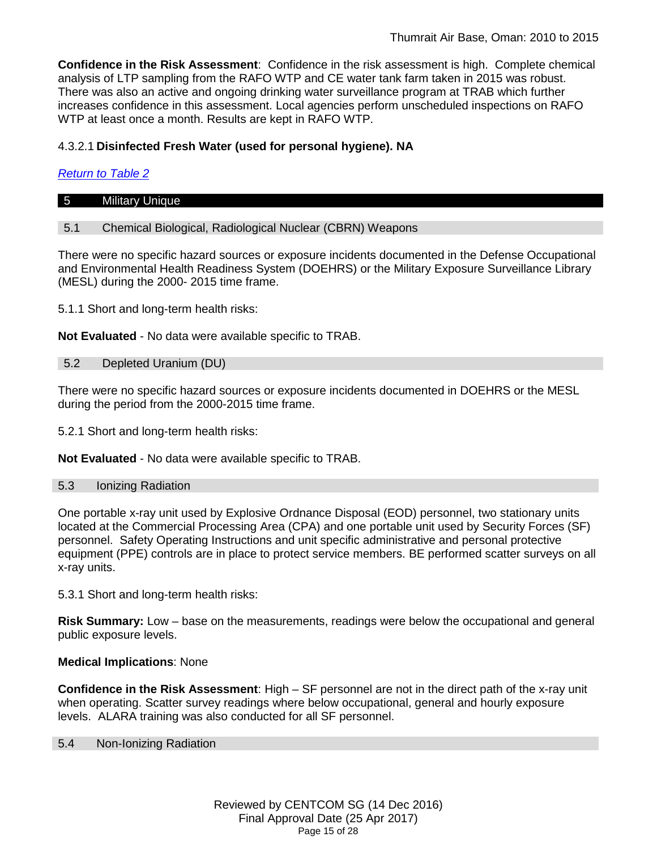**Confidence in the Risk Assessment**: Confidence in the risk assessment is high. Complete chemical analysis of LTP sampling from the RAFO WTP and CE water tank farm taken in 2015 was robust. There was also an active and ongoing drinking water surveillance program at TRAB which further increases confidence in this assessment. Local agencies perform unscheduled inspections on RAFO WTP at least once a month. Results are kept in RAFO WTP.

# 4.3.2.1 **Disinfected Fresh Water (used for personal hygiene). NA**

# *[Return to Table 2](#page-3-1)*

# <span id="page-14-0"></span>5 Military Unique

5.1 Chemical Biological, Radiological Nuclear (CBRN) Weapons

There were no specific hazard sources or exposure incidents documented in the Defense Occupational and Environmental Health Readiness System (DOEHRS) or the Military Exposure Surveillance Library (MESL) during the 2000- 2015 time frame.

5.1.1 Short and long-term health risks:

**Not Evaluated** - No data were available specific to TRAB.

#### 5.2 Depleted Uranium (DU)

There were no specific hazard sources or exposure incidents documented in DOEHRS or the MESL during the period from the 2000-2015 time frame.

5.2.1 Short and long-term health risks:

**Not Evaluated** - No data were available specific to TRAB.

#### 5.3 Ionizing Radiation

One portable x-ray unit used by Explosive Ordnance Disposal (EOD) personnel, two stationary units located at the Commercial Processing Area (CPA) and one portable unit used by Security Forces (SF) personnel. Safety Operating Instructions and unit specific administrative and personal protective equipment (PPE) controls are in place to protect service members. BE performed scatter surveys on all x-ray units.

5.3.1 Short and long-term health risks:

**Risk Summary:** Low – base on the measurements, readings were below the occupational and general public exposure levels.

# **Medical Implications**: None

**Confidence in the Risk Assessment**: High – SF personnel are not in the direct path of the x-ray unit when operating. Scatter survey readings where below occupational, general and hourly exposure levels. ALARA training was also conducted for all SF personnel.

#### 5.4 Non-Ionizing Radiation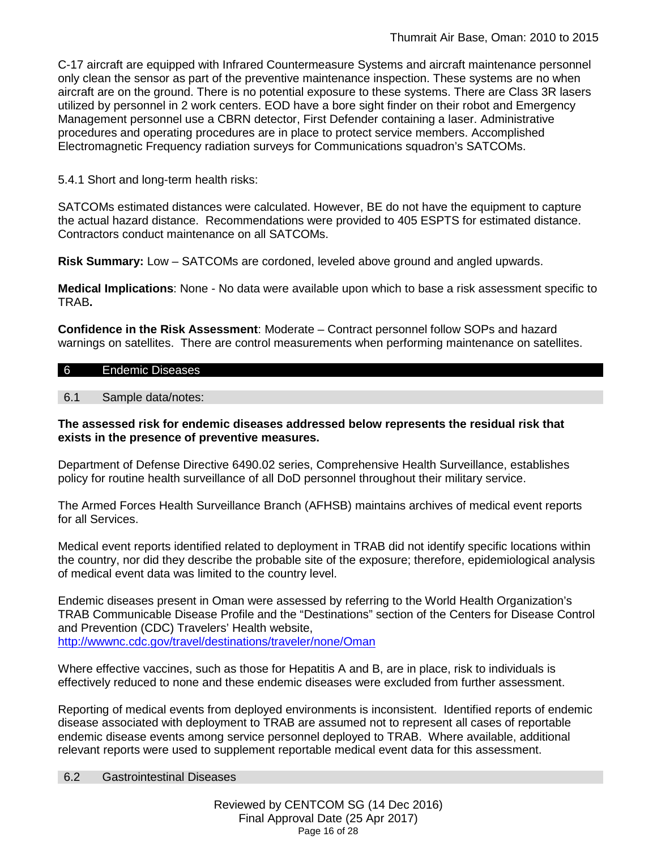C-17 aircraft are equipped with Infrared Countermeasure Systems and aircraft maintenance personnel only clean the sensor as part of the preventive maintenance inspection. These systems are no when aircraft are on the ground. There is no potential exposure to these systems. There are Class 3R lasers utilized by personnel in 2 work centers. EOD have a bore sight finder on their robot and Emergency Management personnel use a CBRN detector, First Defender containing a laser. Administrative procedures and operating procedures are in place to protect service members. Accomplished Electromagnetic Frequency radiation surveys for Communications squadron's SATCOMs.

5.4.1 Short and long-term health risks:

SATCOMs estimated distances were calculated. However, BE do not have the equipment to capture the actual hazard distance. Recommendations were provided to 405 ESPTS for estimated distance. Contractors conduct maintenance on all SATCOMs.

**Risk Summary:** Low – SATCOMs are cordoned, leveled above ground and angled upwards.

**Medical Implications**: None - No data were available upon which to base a risk assessment specific to TRAB**.**

**Confidence in the Risk Assessment**: Moderate – Contract personnel follow SOPs and hazard warnings on satellites. There are control measurements when performing maintenance on satellites.

# 6 Endemic Diseases

## 6.1 Sample data/notes:

## **The assessed risk for endemic diseases addressed below represents the residual risk that exists in the presence of preventive measures.**

Department of Defense Directive 6490.02 series, Comprehensive Health Surveillance, establishes policy for routine health surveillance of all DoD personnel throughout their military service.

The Armed Forces Health Surveillance Branch (AFHSB) maintains archives of medical event reports for all Services.

Medical event reports identified related to deployment in TRAB did not identify specific locations within the country, nor did they describe the probable site of the exposure; therefore, epidemiological analysis of medical event data was limited to the country level.

Endemic diseases present in Oman were assessed by referring to the World Health Organization's TRAB Communicable Disease Profile and the "Destinations" section of the Centers for Disease Control and Prevention (CDC) Travelers' Health website, <http://wwwnc.cdc.gov/travel/destinations/traveler/none/Oman>

Where effective vaccines, such as those for Hepatitis A and B, are in place, risk to individuals is effectively reduced to none and these endemic diseases were excluded from further assessment.

Reporting of medical events from deployed environments is inconsistent. Identified reports of endemic disease associated with deployment to TRAB are assumed not to represent all cases of reportable endemic disease events among service personnel deployed to TRAB. Where available, additional relevant reports were used to supplement reportable medical event data for this assessment.

#### <span id="page-15-0"></span>6.2 Gastrointestinal Diseases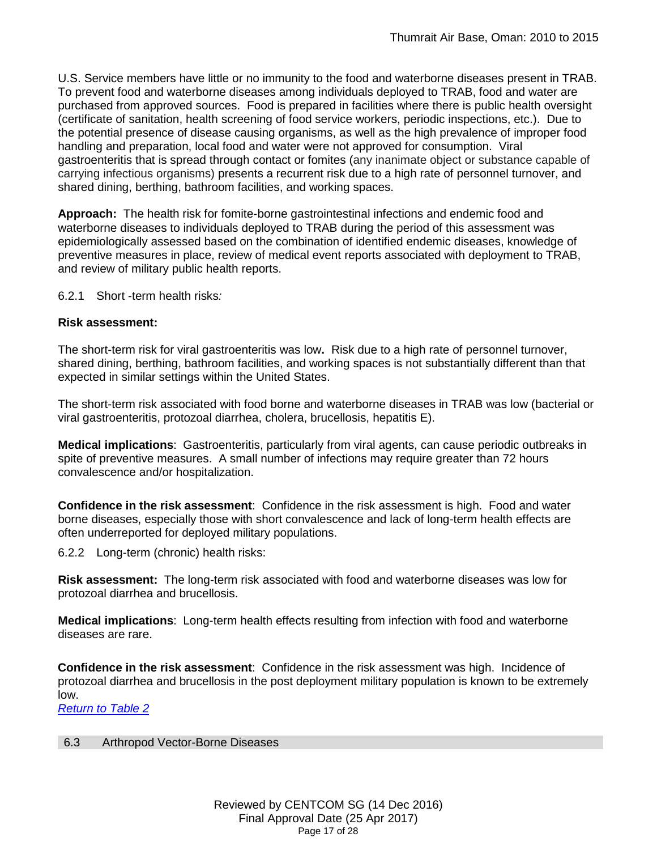U.S. Service members have little or no immunity to the food and waterborne diseases present in TRAB. To prevent food and waterborne diseases among individuals deployed to TRAB, food and water are purchased from approved sources. Food is prepared in facilities where there is public health oversight (certificate of sanitation, health screening of food service workers, periodic inspections, etc.). Due to the potential presence of disease causing organisms, as well as the high prevalence of improper food handling and preparation, local food and water were not approved for consumption. Viral gastroenteritis that is spread through contact or fomites (any inanimate object or substance capable of carrying infectious organisms) presents a recurrent risk due to a high rate of personnel turnover, and shared dining, berthing, bathroom facilities, and working spaces.

**Approach:** The health risk for fomite-borne gastrointestinal infections and endemic food and waterborne diseases to individuals deployed to TRAB during the period of this assessment was epidemiologically assessed based on the combination of identified endemic diseases, knowledge of preventive measures in place, review of medical event reports associated with deployment to TRAB, and review of military public health reports.

6.2.1 Short -term health risks*:*

## **Risk assessment:**

The short-term risk for viral gastroenteritis was low**.** Risk due to a high rate of personnel turnover, shared dining, berthing, bathroom facilities, and working spaces is not substantially different than that expected in similar settings within the United States.

The short-term risk associated with food borne and waterborne diseases in TRAB was low (bacterial or viral gastroenteritis, protozoal diarrhea, cholera, brucellosis, hepatitis E).

**Medical implications**: Gastroenteritis, particularly from viral agents, can cause periodic outbreaks in spite of preventive measures. A small number of infections may require greater than 72 hours convalescence and/or hospitalization.

**Confidence in the risk assessment**: Confidence in the risk assessment is high. Food and water borne diseases, especially those with short convalescence and lack of long-term health effects are often underreported for deployed military populations.

6.2.2 Long-term (chronic) health risks:

**Risk assessment:** The long-term risk associated with food and waterborne diseases was low for protozoal diarrhea and brucellosis.

**Medical implications**: Long-term health effects resulting from infection with food and waterborne diseases are rare.

**Confidence in the risk assessment**: Confidence in the risk assessment was high. Incidence of protozoal diarrhea and brucellosis in the post deployment military population is known to be extremely low.

*[Return to Table 2](#page-3-2)*

#### <span id="page-16-0"></span>6.3 Arthropod Vector-Borne Diseases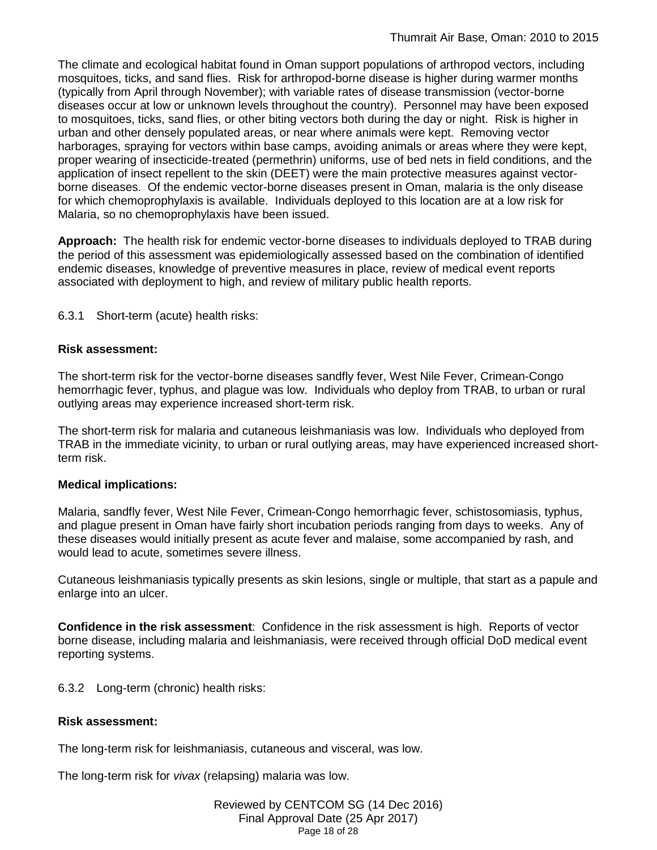The climate and ecological habitat found in Oman support populations of arthropod vectors, including mosquitoes, ticks, and sand flies. Risk for arthropod-borne disease is higher during warmer months (typically from April through November); with variable rates of disease transmission (vector-borne diseases occur at low or unknown levels throughout the country). Personnel may have been exposed to mosquitoes, ticks, sand flies, or other biting vectors both during the day or night. Risk is higher in urban and other densely populated areas, or near where animals were kept. Removing vector harborages, spraying for vectors within base camps, avoiding animals or areas where they were kept, proper wearing of insecticide-treated (permethrin) uniforms, use of bed nets in field conditions, and the application of insect repellent to the skin (DEET) were the main protective measures against vectorborne diseases. Of the endemic vector-borne diseases present in Oman, malaria is the only disease for which chemoprophylaxis is available. Individuals deployed to this location are at a low risk for Malaria, so no chemoprophylaxis have been issued.

**Approach:** The health risk for endemic vector-borne diseases to individuals deployed to TRAB during the period of this assessment was epidemiologically assessed based on the combination of identified endemic diseases, knowledge of preventive measures in place, review of medical event reports associated with deployment to high, and review of military public health reports.

# 6.3.1 Short-term (acute) health risks:

#### **Risk assessment:**

The short-term risk for the vector-borne diseases sandfly fever, West Nile Fever, Crimean-Congo hemorrhagic fever, typhus, and plague was low. Individuals who deploy from TRAB, to urban or rural outlying areas may experience increased short-term risk.

The short-term risk for malaria and cutaneous leishmaniasis was low. Individuals who deployed from TRAB in the immediate vicinity, to urban or rural outlying areas, may have experienced increased shortterm risk.

#### **Medical implications:**

Malaria, sandfly fever, West Nile Fever, Crimean-Congo hemorrhagic fever, schistosomiasis, typhus, and plague present in Oman have fairly short incubation periods ranging from days to weeks. Any of these diseases would initially present as acute fever and malaise, some accompanied by rash, and would lead to acute, sometimes severe illness.

Cutaneous leishmaniasis typically presents as skin lesions, single or multiple, that start as a papule and enlarge into an ulcer.

**Confidence in the risk assessment**: Confidence in the risk assessment is high. Reports of vector borne disease, including malaria and leishmaniasis, were received through official DoD medical event reporting systems.

6.3.2 Long-term (chronic) health risks:

# **Risk assessment:**

The long-term risk for leishmaniasis, cutaneous and visceral, was low.

The long-term risk for *vivax* (relapsing) malaria was low.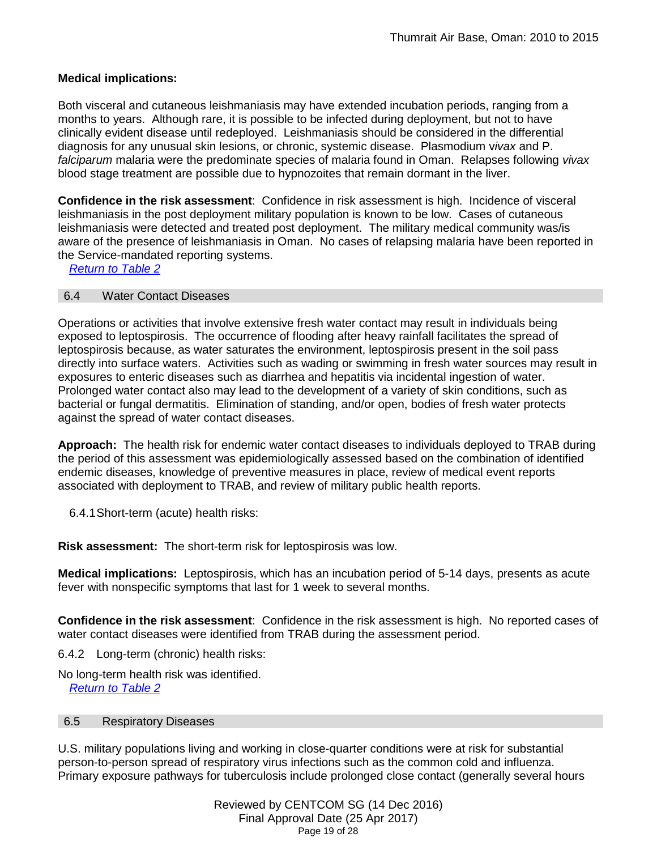## **Medical implications:**

Both visceral and cutaneous leishmaniasis may have extended incubation periods, ranging from a months to years. Although rare, it is possible to be infected during deployment, but not to have clinically evident disease until redeployed. Leishmaniasis should be considered in the differential diagnosis for any unusual skin lesions, or chronic, systemic disease. Plasmodium v*ivax* and P. *falciparum* malaria were the predominate species of malaria found in Oman. Relapses following *vivax* blood stage treatment are possible due to hypnozoites that remain dormant in the liver.

**Confidence in the risk assessment**: Confidence in risk assessment is high. Incidence of visceral leishmaniasis in the post deployment military population is known to be low. Cases of cutaneous leishmaniasis were detected and treated post deployment. The military medical community was/is aware of the presence of leishmaniasis in Oman. No cases of relapsing malaria have been reported in the Service-mandated reporting systems.

*Return to Table 2*

#### <span id="page-18-0"></span>6.4 Water Contact Diseases

Operations or activities that involve extensive fresh water contact may result in individuals being exposed to leptospirosis. The occurrence of flooding after heavy rainfall facilitates the spread of leptospirosis because, as water saturates the environment, leptospirosis present in the soil pass directly into surface waters. Activities such as wading or swimming in fresh water sources may result in exposures to enteric diseases such as diarrhea and hepatitis via incidental ingestion of water. Prolonged water contact also may lead to the development of a variety of skin conditions, such as bacterial or fungal dermatitis. Elimination of standing, and/or open, bodies of fresh water protects against the spread of water contact diseases.

**Approach:** The health risk for endemic water contact diseases to individuals deployed to TRAB during the period of this assessment was epidemiologically assessed based on the combination of identified endemic diseases, knowledge of preventive measures in place, review of medical event reports associated with deployment to TRAB, and review of military public health reports.

6.4.1Short-term (acute) health risks:

**Risk assessment:** The short-term risk for leptospirosis was low.

**Medical implications:** Leptospirosis, which has an incubation period of 5-14 days, presents as acute fever with nonspecific symptoms that last for 1 week to several months.

**Confidence in the risk assessment**: Confidence in the risk assessment is high. No reported cases of water contact diseases were identified from TRAB during the assessment period.

6.4.2 Long-term (chronic) health risks:

No long-term health risk was identified. *[Return to Table 2](#page-4-0)*

#### <span id="page-18-1"></span>6.5 Respiratory Diseases

U.S. military populations living and working in close-quarter conditions were at risk for substantial person-to-person spread of respiratory virus infections such as the common cold and influenza. Primary exposure pathways for tuberculosis include prolonged close contact (generally several hours

> Reviewed by CENTCOM SG (14 Dec 2016) Final Approval Date (25 Apr 2017) Page 19 of 28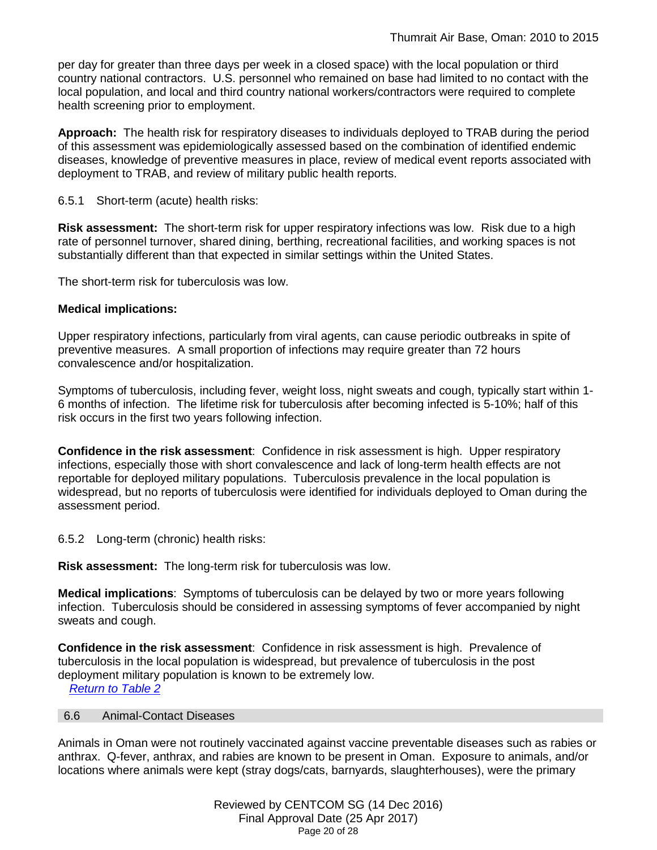per day for greater than three days per week in a closed space) with the local population or third country national contractors. U.S. personnel who remained on base had limited to no contact with the local population, and local and third country national workers/contractors were required to complete health screening prior to employment.

**Approach:** The health risk for respiratory diseases to individuals deployed to TRAB during the period of this assessment was epidemiologically assessed based on the combination of identified endemic diseases, knowledge of preventive measures in place, review of medical event reports associated with deployment to TRAB, and review of military public health reports.

6.5.1 Short-term (acute) health risks:

**Risk assessment:** The short-term risk for upper respiratory infections was low. Risk due to a high rate of personnel turnover, shared dining, berthing, recreational facilities, and working spaces is not substantially different than that expected in similar settings within the United States.

The short-term risk for tuberculosis was low.

#### **Medical implications:**

Upper respiratory infections, particularly from viral agents, can cause periodic outbreaks in spite of preventive measures. A small proportion of infections may require greater than 72 hours convalescence and/or hospitalization.

Symptoms of tuberculosis, including fever, weight loss, night sweats and cough, typically start within 1- 6 months of infection. The lifetime risk for tuberculosis after becoming infected is 5-10%; half of this risk occurs in the first two years following infection.

**Confidence in the risk assessment**: Confidence in risk assessment is high. Upper respiratory infections, especially those with short convalescence and lack of long-term health effects are not reportable for deployed military populations. Tuberculosis prevalence in the local population is widespread, but no reports of tuberculosis were identified for individuals deployed to Oman during the assessment period.

#### 6.5.2 Long-term (chronic) health risks:

**Risk assessment:** The long-term risk for tuberculosis was low.

**Medical implications**: Symptoms of tuberculosis can be delayed by two or more years following infection. Tuberculosis should be considered in assessing symptoms of fever accompanied by night sweats and cough.

**Confidence in the risk assessment**: Confidence in risk assessment is high. Prevalence of tuberculosis in the local population is widespread, but prevalence of tuberculosis in the post deployment military population is known to be extremely low.

## <span id="page-19-0"></span>*[Return to Table 2](#page-4-1)*

#### 6.6 Animal-Contact Diseases

Animals in Oman were not routinely vaccinated against vaccine preventable diseases such as rabies or anthrax. Q-fever, anthrax, and rabies are known to be present in Oman. Exposure to animals, and/or locations where animals were kept (stray dogs/cats, barnyards, slaughterhouses), were the primary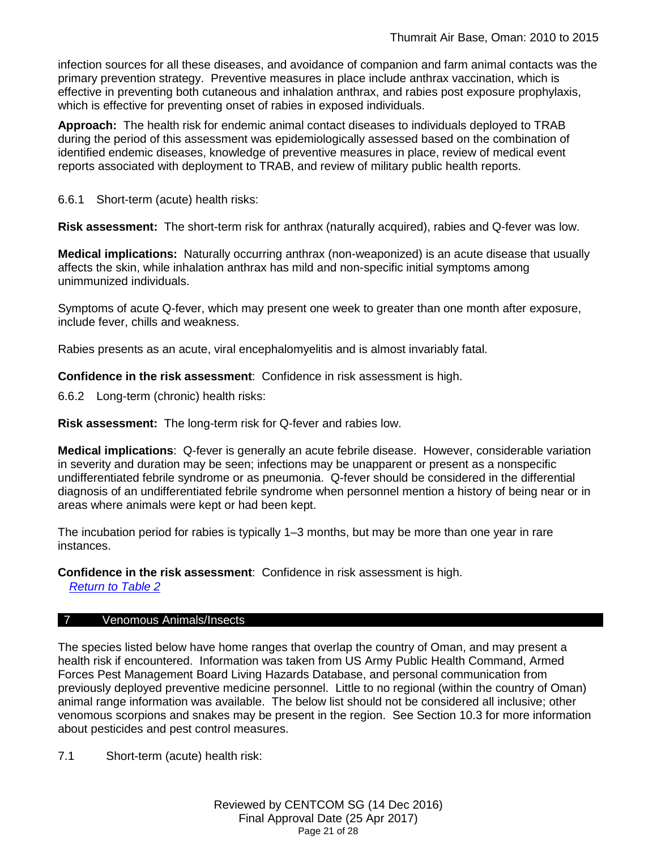infection sources for all these diseases, and avoidance of companion and farm animal contacts was the primary prevention strategy. Preventive measures in place include anthrax vaccination, which is effective in preventing both cutaneous and inhalation anthrax, and rabies post exposure prophylaxis, which is effective for preventing onset of rabies in exposed individuals.

**Approach:** The health risk for endemic animal contact diseases to individuals deployed to TRAB during the period of this assessment was epidemiologically assessed based on the combination of identified endemic diseases, knowledge of preventive measures in place, review of medical event reports associated with deployment to TRAB, and review of military public health reports.

6.6.1 Short-term (acute) health risks:

**Risk assessment:** The short-term risk for anthrax (naturally acquired), rabies and Q-fever was low.

**Medical implications:** Naturally occurring anthrax (non-weaponized) is an acute disease that usually affects the skin, while inhalation anthrax has mild and non-specific initial symptoms among unimmunized individuals.

Symptoms of acute Q-fever, which may present one week to greater than one month after exposure, include fever, chills and weakness.

Rabies presents as an acute, viral encephalomyelitis and is almost invariably fatal.

**Confidence in the risk assessment**: Confidence in risk assessment is high.

6.6.2 Long-term (chronic) health risks:

**Risk assessment:** The long-term risk for Q-fever and rabies low.

**Medical implications**: Q-fever is generally an acute febrile disease. However, considerable variation in severity and duration may be seen; infections may be unapparent or present as a nonspecific undifferentiated febrile syndrome or as pneumonia. Q-fever should be considered in the differential diagnosis of an undifferentiated febrile syndrome when personnel mention a history of being near or in areas where animals were kept or had been kept.

The incubation period for rabies is typically 1–3 months, but may be more than one year in rare instances.

**Confidence in the risk assessment**: Confidence in risk assessment is high.

*[Return to Table 2](#page-4-2)*

#### <span id="page-20-0"></span>7 Venomous Animals/Insects

The species listed below have home ranges that overlap the country of Oman, and may present a health risk if encountered. Information was taken from US Army Public Health Command, Armed Forces Pest Management Board Living Hazards Database, and personal communication from previously deployed preventive medicine personnel. Little to no regional (within the country of Oman) animal range information was available. The below list should not be considered all inclusive; other venomous scorpions and snakes may be present in the region. See Section 10.3 for more information about pesticides and pest control measures.

7.1 Short-term (acute) health risk: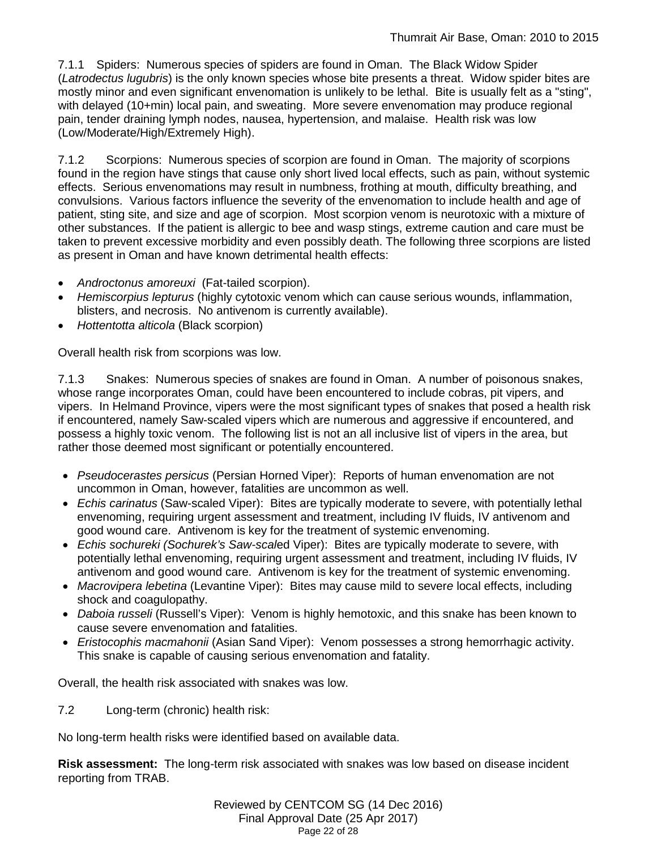7.1.1 Spiders: Numerous species of spiders are found in Oman. The Black Widow Spider (*Latrodectus lugubris*) is the only known species whose bite presents a threat. Widow spider bites are mostly minor and even significant envenomation is unlikely to be lethal. Bite is usually felt as a "sting", with delayed (10+min) local pain, and sweating. More severe envenomation may produce regional pain, tender draining lymph nodes, nausea, hypertension, and malaise. Health risk was low (Low/Moderate/High/Extremely High).

7.1.2 Scorpions: Numerous species of scorpion are found in Oman. The majority of scorpions found in the region have stings that cause only short lived local effects, such as pain, without systemic effects. Serious envenomations may result in numbness, frothing at mouth, difficulty breathing, and convulsions. Various factors influence the severity of the envenomation to include health and age of patient, sting site, and size and age of scorpion. Most scorpion venom is neurotoxic with a mixture of other substances. If the patient is allergic to bee and wasp stings, extreme caution and care must be taken to prevent excessive morbidity and even possibly death. The following three scorpions are listed as present in Oman and have known detrimental health effects:

- *Androctonus amoreuxi* (Fat-tailed scorpion).
- *Hemiscorpius lepturus* (highly cytotoxic venom which can cause serious wounds, inflammation, blisters, and necrosis. No antivenom is currently available).
- *Hottentotta alticola* (Black scorpion)

Overall health risk from scorpions was low.

7.1.3 Snakes: Numerous species of snakes are found in Oman. A number of poisonous snakes, whose range incorporates Oman, could have been encountered to include cobras, pit vipers, and vipers. In Helmand Province, vipers were the most significant types of snakes that posed a health risk if encountered, namely Saw-scaled vipers which are numerous and aggressive if encountered, and possess a highly toxic venom. The following list is not an all inclusive list of vipers in the area, but rather those deemed most significant or potentially encountered.

- *Pseudocerastes persicus* (Persian Horned Viper): Reports of human envenomation are not uncommon in Oman, however, fatalities are uncommon as well.
- *Echis carinatus* (Saw-scaled Viper): Bites are typically moderate to severe, with potentially lethal envenoming, requiring urgent assessment and treatment, including IV fluids, IV antivenom and good wound care. Antivenom is key for the treatment of systemic envenoming.
- *Echis sochureki (Sochurek's Saw-scal*ed Viper): Bites are typically moderate to severe, with potentially lethal envenoming, requiring urgent assessment and treatment, including IV fluids, IV antivenom and good wound care. Antivenom is key for the treatment of systemic envenoming.
- *Macrovipera lebetina* (Levantine Viper): Bites may cause mild to sever*e* local effects, including shock and coagulopathy.
- *Daboia russeli* (Russell's Viper): Venom is highly hemotoxic, and this snake has been known to cause severe envenomation and fatalities.
- *Eristocophis macmahonii* (Asian Sand Viper): Venom possesses a strong hemorrhagic activity. This snake is capable of causing serious envenomation and fatality.

Overall, the health risk associated with snakes was low.

7.2 Long-term (chronic) health risk:

No long-term health risks were identified based on available data.

**Risk assessment:** The long-term risk associated with snakes was low based on disease incident reporting from TRAB.

> Reviewed by CENTCOM SG (14 Dec 2016) Final Approval Date (25 Apr 2017) Page 22 of 28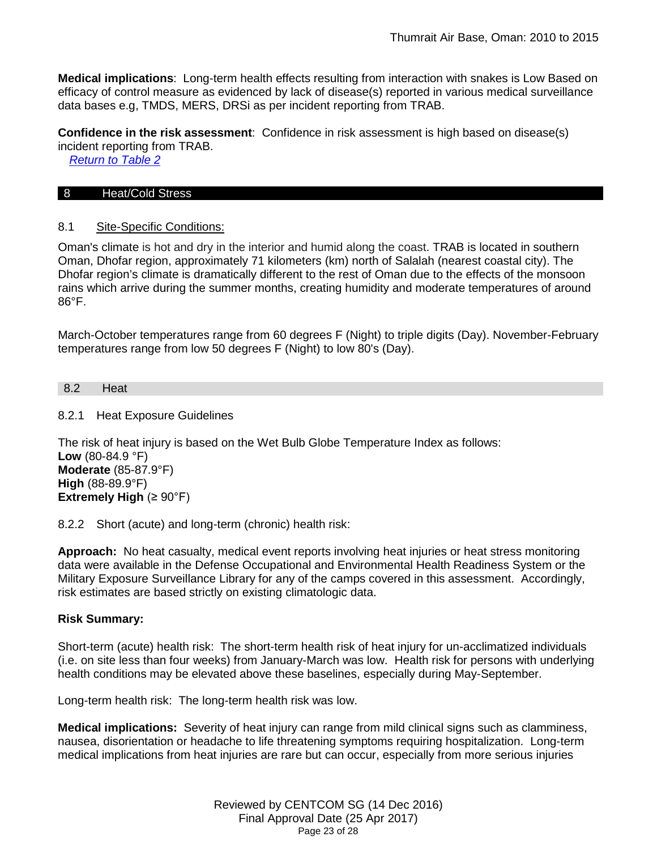**Medical implications**: Long-term health effects resulting from interaction with snakes is Low Based on efficacy of control measure as evidenced by lack of disease(s) reported in various medical surveillance data bases e.g, TMDS, MERS, DRSi as per incident reporting from TRAB.

**Confidence in the risk assessment**: Confidence in risk assessment is high based on disease(s) incident reporting from TRAB.

*[Return to Table 2](#page-5-0)*

#### <span id="page-22-0"></span>8 Heat/Cold Stress

## 8.1 Site-Specific Conditions:

Oman's climate is hot and dry in the interior and humid along the coast. TRAB is located in southern Oman, Dhofar region, approximately 71 kilometers (km) north of Salalah (nearest coastal city). The Dhofar region's climate is dramatically different to the rest of Oman due to the effects of the monsoon rains which arrive during the summer months, creating humidity and moderate temperatures of around 86°F.

March-October temperatures range from 60 degrees F (Night) to triple digits (Day). November-February temperatures range from low 50 degrees F (Night) to low 80's (Day).

#### <span id="page-22-1"></span>8.2 Heat

## 8.2.1 Heat Exposure Guidelines

The risk of heat injury is based on the Wet Bulb Globe Temperature Index as follows: **Low** (80-84.9 °F) **Moderate** (85-87.9°F) **High** (88-89.9°F) **Extremely High** (≥ 90°F)

8.2.2 Short (acute) and long-term (chronic) health risk:

**Approach:** No heat casualty, medical event reports involving heat injuries or heat stress monitoring data were available in the Defense Occupational and Environmental Health Readiness System or the Military Exposure Surveillance Library for any of the camps covered in this assessment. Accordingly, risk estimates are based strictly on existing climatologic data.

#### **Risk Summary:**

Short-term (acute) health risk: The short-term health risk of heat injury for un-acclimatized individuals (i.e. on site less than four weeks) from January-March was low. Health risk for persons with underlying health conditions may be elevated above these baselines, especially during May-September.

Long-term health risk: The long-term health risk was low.

**Medical implications:** Severity of heat injury can range from mild clinical signs such as clamminess, nausea, disorientation or headache to life threatening symptoms requiring hospitalization. Long-term medical implications from heat injuries are rare but can occur, especially from more serious injuries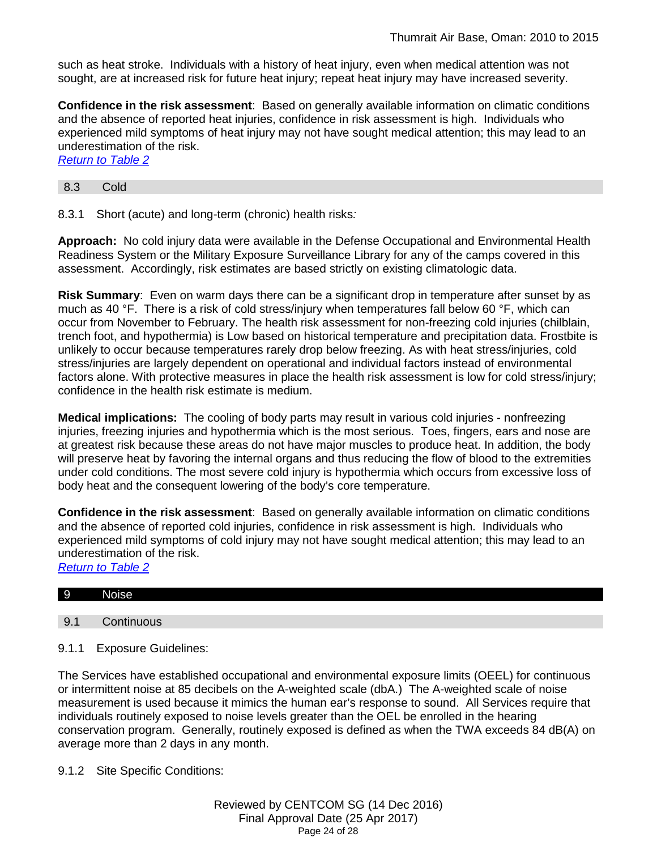such as heat stroke. Individuals with a history of heat injury, even when medical attention was not sought, are at increased risk for future heat injury; repeat heat injury may have increased severity.

**Confidence in the risk assessment**: Based on generally available information on climatic conditions and the absence of reported heat injuries, confidence in risk assessment is high. Individuals who experienced mild symptoms of heat injury may not have sought medical attention; this may lead to an underestimation of the risk.

*[Return to Table 2](#page-5-1)*

## <span id="page-23-0"></span>8.3 Cold

8.3.1 Short (acute) and long-term (chronic) health risks*:*

**Approach:** No cold injury data were available in the Defense Occupational and Environmental Health Readiness System or the Military Exposure Surveillance Library for any of the camps covered in this assessment. Accordingly, risk estimates are based strictly on existing climatologic data.

**Risk Summary**: Even on warm days there can be a significant drop in temperature after sunset by as much as 40 °F. There is a risk of cold stress/injury when temperatures fall below 60 °F, which can occur from November to February. The health risk assessment for non-freezing cold injuries (chilblain, trench foot, and hypothermia) is Low based on historical temperature and precipitation data. Frostbite is unlikely to occur because temperatures rarely drop below freezing. As with heat stress/injuries, cold stress/injuries are largely dependent on operational and individual factors instead of environmental factors alone. With protective measures in place the health risk assessment is low for cold stress/injury; confidence in the health risk estimate is medium.

**Medical implications:** The cooling of body parts may result in various cold injuries - nonfreezing injuries, freezing injuries and hypothermia which is the most serious. Toes, fingers, ears and nose are at greatest risk because these areas do not have major muscles to produce heat. In addition, the body will preserve heat by favoring the internal organs and thus reducing the flow of blood to the extremities under cold conditions. The most severe cold injury is hypothermia which occurs from excessive loss of body heat and the consequent lowering of the body's core temperature.

**Confidence in the risk assessment**: Based on generally available information on climatic conditions and the absence of reported cold injuries, confidence in risk assessment is high. Individuals who experienced mild symptoms of cold injury may not have sought medical attention; this may lead to an underestimation of the risk.

*[Return to Table 2](#page-5-2)*

| Noise |
|-------|
|       |
|       |

<span id="page-23-1"></span>9.1 Continuous

#### 9.1.1 Exposure Guidelines:

The Services have established occupational and environmental exposure limits (OEEL) for continuous or intermittent noise at 85 decibels on the A-weighted scale (dbA.) The A-weighted scale of noise measurement is used because it mimics the human ear's response to sound. All Services require that individuals routinely exposed to noise levels greater than the OEL be enrolled in the hearing conservation program. Generally, routinely exposed is defined as when the TWA exceeds 84 dB(A) on average more than 2 days in any month.

9.1.2 Site Specific Conditions: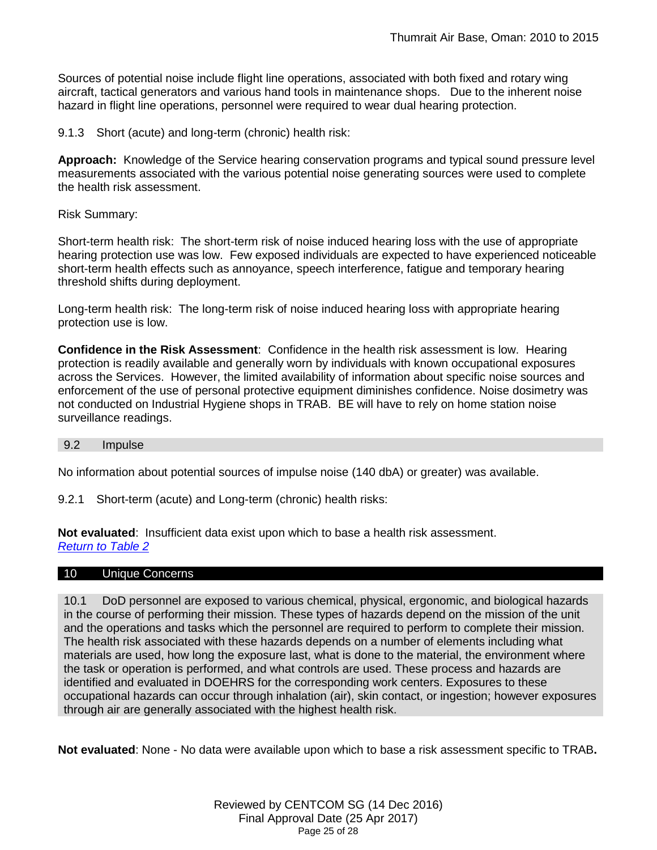Sources of potential noise include flight line operations, associated with both fixed and rotary wing aircraft, tactical generators and various hand tools in maintenance shops. Due to the inherent noise hazard in flight line operations, personnel were required to wear dual hearing protection.

9.1.3 Short (acute) and long-term (chronic) health risk:

**Approach:** Knowledge of the Service hearing conservation programs and typical sound pressure level measurements associated with the various potential noise generating sources were used to complete the health risk assessment.

Risk Summary:

Short-term health risk: The short-term risk of noise induced hearing loss with the use of appropriate hearing protection use was low. Few exposed individuals are expected to have experienced noticeable short-term health effects such as annoyance, speech interference, fatigue and temporary hearing threshold shifts during deployment.

Long-term health risk: The long-term risk of noise induced hearing loss with appropriate hearing protection use is low.

**Confidence in the Risk Assessment**: Confidence in the health risk assessment is low. Hearing protection is readily available and generally worn by individuals with known occupational exposures across the Services. However, the limited availability of information about specific noise sources and enforcement of the use of personal protective equipment diminishes confidence. Noise dosimetry was not conducted on Industrial Hygiene shops in TRAB. BE will have to rely on home station noise surveillance readings.

9.2 Impulse

No information about potential sources of impulse noise (140 dbA) or greater) was available.

9.2.1 Short-term (acute) and Long-term (chronic) health risks:

**Not evaluated**: Insufficient data exist upon which to base a health risk assessment. *[Return to Table 2](#page-5-3)*

#### <span id="page-24-0"></span>10 Unique Concerns

<span id="page-24-1"></span>10.1 DoD personnel are exposed to various chemical, physical, ergonomic, and biological hazards in the course of performing their mission. These types of hazards depend on the mission of the unit and the operations and tasks which the personnel are required to perform to complete their mission. The health risk associated with these hazards depends on a number of elements including what materials are used, how long the exposure last, what is done to the material, the environment where the task or operation is performed, and what controls are used. These process and hazards are identified and evaluated in DOEHRS for the corresponding work centers. Exposures to these occupational hazards can occur through inhalation (air), skin contact, or ingestion; however exposures through air are generally associated with the highest health risk.

**Not evaluated**: None - No data were available upon which to base a risk assessment specific to TRAB**.**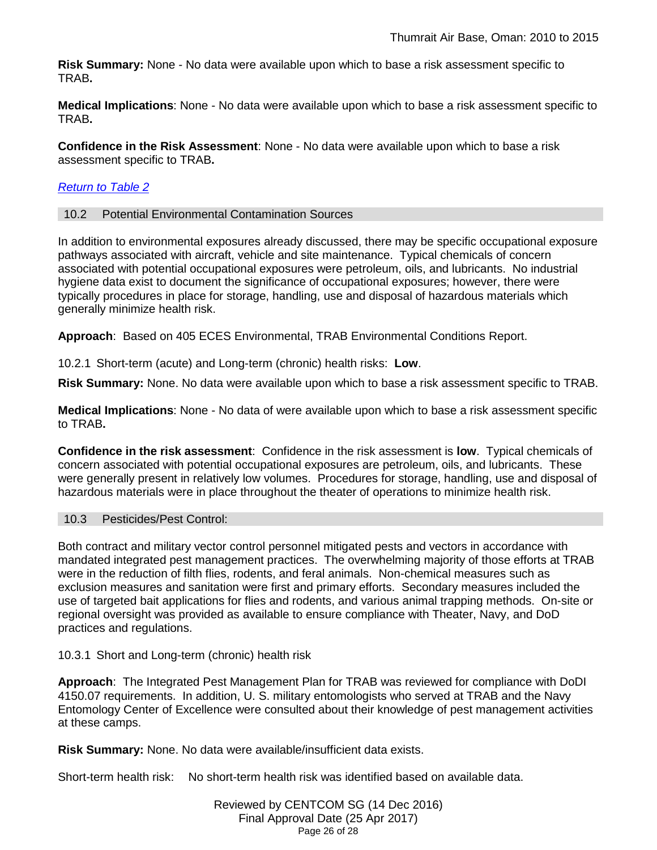**Risk Summary:** None - No data were available upon which to base a risk assessment specific to TRAB**.**

**Medical Implications**: None - No data were available upon which to base a risk assessment specific to TRAB**.**

**Confidence in the Risk Assessment**: None - No data were available upon which to base a risk assessment specific to TRAB**.**

## *[Return to Table 2](#page-6-0)*

#### 10.2 Potential Environmental Contamination Sources

In addition to environmental exposures already discussed, there may be specific occupational exposure pathways associated with aircraft, vehicle and site maintenance. Typical chemicals of concern associated with potential occupational exposures were petroleum, oils, and lubricants. No industrial hygiene data exist to document the significance of occupational exposures; however, there were typically procedures in place for storage, handling, use and disposal of hazardous materials which generally minimize health risk.

**Approach**: Based on 405 ECES Environmental, TRAB Environmental Conditions Report.

10.2.1 Short-term (acute) and Long-term (chronic) health risks: **Low**.

**Risk Summary:** None. No data were available upon which to base a risk assessment specific to TRAB.

**Medical Implications**: None - No data of were available upon which to base a risk assessment specific to TRAB**.**

**Confidence in the risk assessment**: Confidence in the risk assessment is **low**. Typical chemicals of concern associated with potential occupational exposures are petroleum, oils, and lubricants. These were generally present in relatively low volumes. Procedures for storage, handling, use and disposal of hazardous materials were in place throughout the theater of operations to minimize health risk.

## 10.3 Pesticides/Pest Control:

Both contract and military vector control personnel mitigated pests and vectors in accordance with mandated integrated pest management practices. The overwhelming majority of those efforts at TRAB were in the reduction of filth flies, rodents, and feral animals. Non-chemical measures such as exclusion measures and sanitation were first and primary efforts. Secondary measures included the use of targeted bait applications for flies and rodents, and various animal trapping methods. On-site or regional oversight was provided as available to ensure compliance with Theater, Navy, and DoD practices and regulations.

#### 10.3.1 Short and Long-term (chronic) health risk

**Approach**: The Integrated Pest Management Plan for TRAB was reviewed for compliance with DoDI 4150.07 requirements. In addition, U. S. military entomologists who served at TRAB and the Navy Entomology Center of Excellence were consulted about their knowledge of pest management activities at these camps.

**Risk Summary:** None. No data were available/insufficient data exists.

Short-term health risk: No short-term health risk was identified based on available data.

Reviewed by CENTCOM SG (14 Dec 2016) Final Approval Date (25 Apr 2017) Page 26 of 28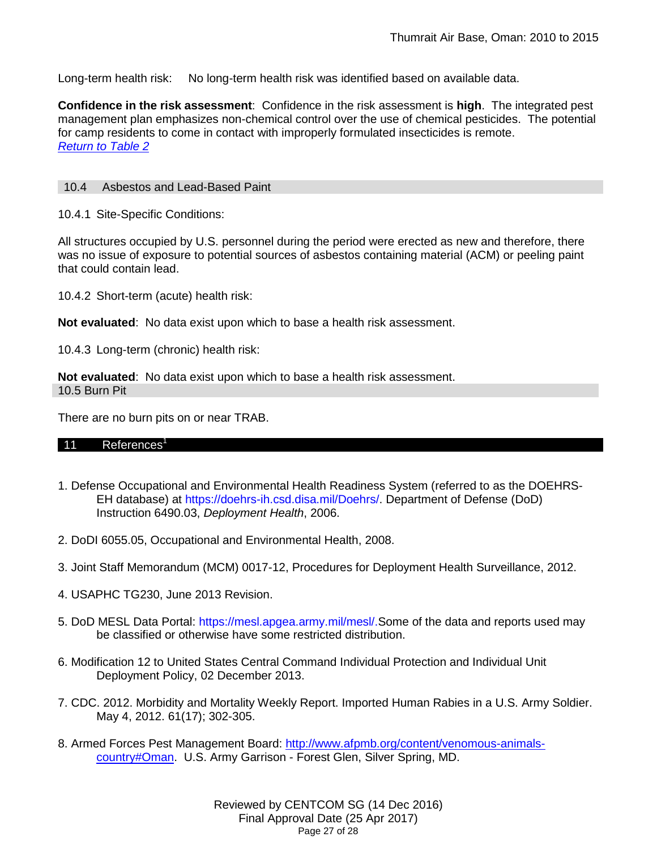Long-term health risk: No long-term health risk was identified based on available data.

**Confidence in the risk assessment**: Confidence in the risk assessment is **high**. The integrated pest management plan emphasizes non-chemical control over the use of chemical pesticides. The potential for camp residents to come in contact with improperly formulated insecticides is remote. *[Return to Table 2](#page-6-0)*

#### 10.4 Asbestos and Lead-Based Paint

10.4.1 Site-Specific Conditions:

All structures occupied by U.S. personnel during the period were erected as new and therefore, there was no issue of exposure to potential sources of asbestos containing material (ACM) or peeling paint that could contain lead.

10.4.2 Short-term (acute) health risk:

**Not evaluated**: No data exist upon which to base a health risk assessment.

10.4.3 Long-term (chronic) health risk:

**Not evaluated**: No data exist upon which to base a health risk assessment.

10.5 Burn Pit

There are no burn pits on or near TRAB.

#### 11 References<sup>1</sup>

- 1. Defense Occupational and Environmental Health Readiness System (referred to as the DOEHRS-EH database) at https://doehrs-ih.csd.disa.mil/Doehrs/. Department of Defense (DoD) Instruction 6490.03, *Deployment Health*, 2006.
- 2. DoDI 6055.05, Occupational and Environmental Health, 2008.
- 3. Joint Staff Memorandum (MCM) 0017-12, Procedures for Deployment Health Surveillance, 2012.
- 4. USAPHC TG230, June 2013 Revision.
- 5. DoD MESL Data Portal: https://mesl.apgea.army.mil/mesl/.Some of the data and reports used may be classified or otherwise have some restricted distribution.
- 6. Modification 12 to United States Central Command Individual Protection and Individual Unit Deployment Policy, 02 December 2013.
- 7. CDC. 2012. Morbidity and Mortality Weekly Report. Imported Human Rabies in a U.S. Army Soldier. May 4, 2012. 61(17); 302-305.
- 8. Armed Forces Pest Management Board: [http://www.afpmb.org/content/venomous-animals](http://www.afpmb.org/content/venomous-animals-country#Oman)[country#Oman.](http://www.afpmb.org/content/venomous-animals-country#Oman) U.S. Army Garrison - Forest Glen, Silver Spring, MD.